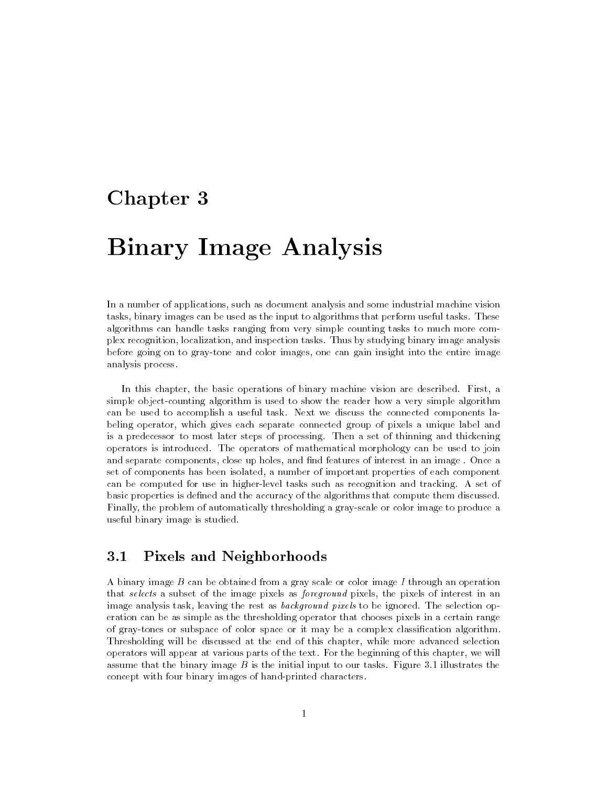# Chapter 3

# Binary Image Analysis

In a number of applications, such as document analysis and some industrial machine vision tasks, binary images can be used as the input to algorithms that perform useful tasks. These algorithms can handle tasks ranging from very simple counting tasks to much more complex recognition, localization, and inspection tasks. Thus by studying binary image analysis before going on to gray-tone and color images, one can gain insight into the entire image analysis process.

In this chapter, the basic operations of binary machine vision are described. First, a simple object-counting algorithm is used to show the reader howavery simple algorithm can be used to accomplish a useful task. Next we discuss the connected components labeling operator, which gives each separate connected group of pixels a unique label and is a predecessor to most later steps of processing. Then a set of thinning and thickening operators is introduced. The operators of mathematical morphology can be used to join and separate components, close up holes, and find features of interest in an image. Once a set of components has been isolated, a number of important properties of each component can be computed for use in higher-level tasks such as recognition and tracking. A set of basic properties is defined and the accuracy of the algorithms that compute them discussed. Finally, the problem of automatically thresholding a gray-scale or color image to produce a useful binary image is studied.

# 3.1 Pixels and Neighborhoods

A binary image B can be obtained from a gray scale or color image I through an operation that selects a subset of the image pixels as *foreground* pixels, the pixels of interest in an image analysis task, leaving the rest as *background pixels* to be ignored. The selection operation can be as simple as the thresholding operator that chooses pixels in a certain range of gray-tones or subspace of color space or it may be a complex classication algorithm. Thresholding will be discussed at the end of this chapter, while more advanced selection operators will appear at various parts of the text. For the beginning of this chapter, we will assume that the binary image  $B$  is the initial input to our tasks. Figure 3.1 illustrates the concept with four binary images of hand-printed characters.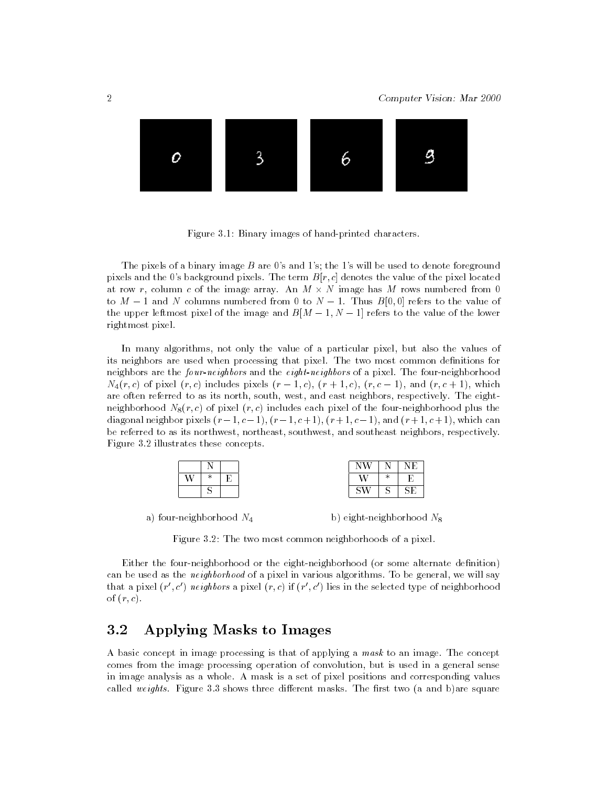

Figure 3.1: Binary images of hand-printed characters.

The pixels of a binary image  $B$  are 0's and 1's; the 1's will be used to denote foreground pixels and the 0's background pixels. The term  $B[r, c]$  denotes the value of the pixel located at row  $r$ , column  $c$  of the image array. An  $M$   $\times$   $N$  image has  $M$  rows numbered from  $0$ to  $M-1$  and N columns numbered from 0 to  $N-1$ . Thus  $B[0,0]$  refers to the value of the upper leftmost pixel of the image and  $B[M - 1, N - 1]$  refers to the value of the lower rightmost pixel.

In many algorithms, not only the value of a particular pixel, but also the values of its neighbors are used when processing that pixel. The two most common definitions for neighbors are the four-neighbors and the eight-neighbors of a pixel. The four-neighborhood  $N_4(r, c)$  of pixel  $(r, c)$  includes pixels  $(r - 1, c)$ ,  $(r + 1, c)$ ,  $(r, c - 1)$ , and  $(r, c + 1)$ , which are often referred to as its north, south, west, and east neighbors, respectively. The eightneighborhood  $N_8(r, c)$  of pixel  $(r, c)$  includes each pixel of the four-neighborhood plus the diagonal neighbor pixels  $(r-1, c-1)$ ,  $(r-1, c+1)$ ,  $(r+1, c-1)$ , and  $(r+1, c+1)$ , which can be referred to as its northwest, northeast, southwest, and southeast neighbors, respectively. Figure 3.2 illustrates these concepts.

|        |   |   |                              | $\sim$ |
|--------|---|---|------------------------------|--------|
| --     | - | . | sk.<br>$\tilde{\phantom{a}}$ |        |
| $\sim$ |   |   | ÷<br>◡                       | ∼<br>- |

a) four-neighborhood  $N_4$  b) eight-neighborhood  $N_8$ 

Figure 3.2: The two most common neighborhoods of a pixel.

Either the four-neighborhood or the eight-neighborhood (or some alternate denition) can be used as the *neighborhood* of a pixel in various algorithms. To be general, we will say that a pixel (r  $\,$ , c) neighbors a pixel (r, c) if (r  $\,$ , c) lies in the selected type of neighborhood of  $(r, c)$ .

#### 3.2 Applying Masks to Images  $3.2$

A basic concept in image processing is that of applying a mask to an image. The concept comes from the image processing operation of convolution, but is used in a general sense in image analysis as a whole. A mask is a set of pixel positions and corresponding values called weights. Figure 3.3 shows three different masks. The first two (a and b) are square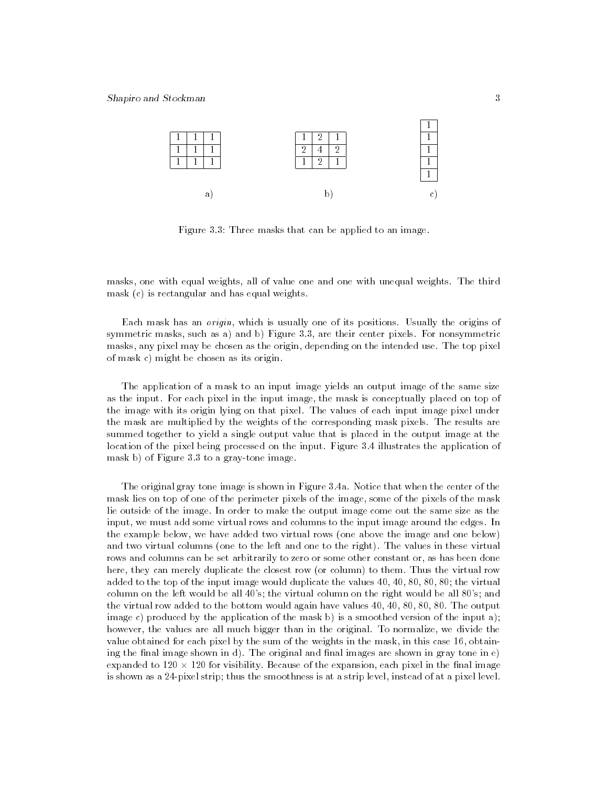

Figure 3.3: Three masks that can be applied to an image.

masks, one with equal weights, all of value one and one with unequal weights. The third mask (c) is rectangular and has equal weights.

Each mask has an origin, which is usually one of its positions. Usually the origins of symmetric masks, such as a) and b) Figure 3.3, are their center pixels. For nonsymmetric masks, any pixel may be chosen as the origin, depending on the intended use. The top pixel of mask c) might be chosen as its origin.

The application of a mask to an input image yields an output image of the same size as the input. For each pixel in the input image, the mask is conceptually placed on top of the image with its origin lying on that pixel. The values of each input image pixel under the mask are multiplied by the weights of the corresponding mask pixels. The results are summed together to yield a single output value that is placed in the output image at the location of the pixel being processed on the input. Figure 3.4 illustrates the application of mask b) of Figure 3.3 to a gray-tone image.

The original gray tone image is shown in Figure 3.4a. Notice that when the center of the mask lies on top of one of the perimeter pixels of the image, some of the pixels of the mask lie outside of the image. In order to make the output image come out the same size as the input, we must add some virtual rows and columns to the input image around the edges. In the example below, we have added two virtual rows (one above the image and one below) and two virtual columns (one to the left and one to the right). The values in these virtual rows and columns can be set arbitrarily to zero or some other constant or, as has been done here, they can merely duplicate the closest row (or column) to them. Thus the virtual row added to the top of the input image would duplicate the values 40, 40, 80, 80, 80; the virtual column on the left would be all 40's; the virtual column on the right would be all 80's; and the virtual row added to the bottom would again have values 40, 40, 80, 80, 80. The output image c) produced by the application of the mask b) is a smoothed version of the input a); however, the values are all much bigger than in the original. To normalize, we divide the value obtained for each pixel by the sum of the weights in the mask, in this case 16, obtaining the final image shown in d). The original and final images are shown in gray tone in  $\epsilon$ ) expanded to 120  $\times$  120 for visibility. Because of the expansion, each pixel in the final image  $$ is shown as a 24-pixel strip; thus the smoothness is at a strip level, instead of at a pixel level.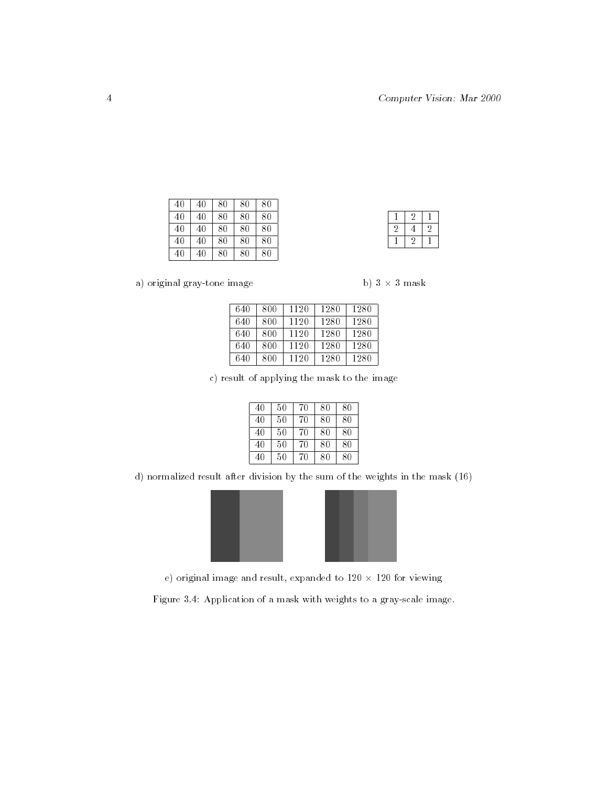| 40 | 40 | 80 | -80 | 80  |  |
|----|----|----|-----|-----|--|
| 40 | 40 | 80 | -80 | -80 |  |
| 40 | 40 | 80 | 80  | 80  |  |
| 40 | 40 | 80 | -80 | 80  |  |
| 40 | 40 | 80 | 80  | 80  |  |

|  | a) original gray-tone image |  |
|--|-----------------------------|--|

|  |  | .3 mask |
|--|--|---------|
|  |  |         |

 2 1 4 2  $2 \mid 1$ 

 $\mathbf{1}$ 

| 640 | 800 | 1120 | 1280 | 1280 |
|-----|-----|------|------|------|
| 640 | 800 | 1120 | 1280 | 1280 |
| 640 | 800 | 1120 | 1280 | 1280 |
| 640 | 800 | 1120 | 1280 | 1280 |
| 640 | 800 | 1120 | 1280 | 1280 |

c) result of applying the mask to the image

| 40 | 50 | 70 | 80 | 80 |  |
|----|----|----|----|----|--|
| 40 | 50 | 70 | 80 | 80 |  |
| 40 | 50 | 70 | 80 | 80 |  |
| 40 | 50 | 70 | 80 | 80 |  |
| 40 | 50 | 70 | 80 | 80 |  |

d) normalized result after division by the sum of the weights in the mask (16)



e) original image and result, expanded to 120 × 120 for viewing

Figure 3.4: Application of a mask with weights to a gray-scale image.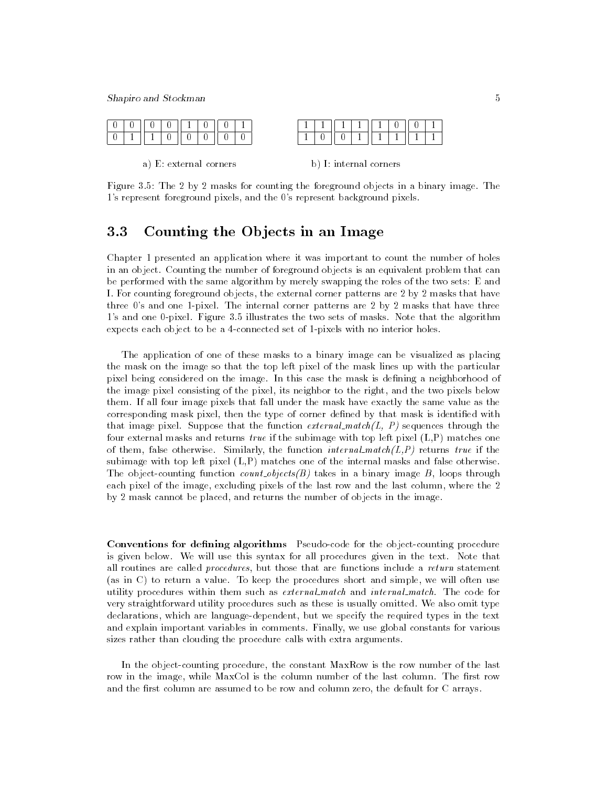

a) E: external corners b) I: internal corners

Figure 3.5: The 2 by 2 masks for counting the foreground objects in a binary image. The 1's represent foreground pixels, and the 0's represent background pixels.

## 3.3 Counting the Objects in an Image

Chapter 1 presented an application where it was important to count the number of holes in an object. Counting the number of foreground objects is an equivalent problem that can be performed with the same algorithm by merely swapping the roles of the two sets: E and I. For counting foreground objects, the external corner patterns are 2 by 2 masks that have three 0's and one 1-pixel. The internal corner patterns are 2 by 2 masks that have three 1's and one 0-pixel. Figure 3.5 illustrates the two sets of masks. Note that the algorithm expects each object to be a 4-connected set of 1-pixels with no interior holes.

The application of one of these masks to a binary image can be visualized as placing the mask on the image so that the top left pixel of the mask lines up with the particular pixel being considered on the image. In this case the mask is defining a neighborhood of the image pixel consisting of the pixel, its neighbor to the right, and the two pixels below them. If all four image pixels that fall under the mask have exactly the same value as the corresponding mask pixel, then the type of corner defined by that mask is identified with that image pixel. Suppose that the function  $\text{external\_match}(L, P)$  sequences through the four external masks and returns true if the subimage with top left pixel  $(L, P)$  matches one of them, false otherwise. Similarly, the function  $internal\_match(L, P)$  returns true if the subimage with top left pixel (L,P) matches one of the internal masks and false otherwise. The object-counting function *count objects(B)* takes in a binary image  $B$ , loops through each pixel of the image, excluding pixels of the last row and the last column, where the 2 by 2 mask cannot be placed, and returns the number of objects in the image.

**Conventions for defining algorithms** Pseudo-code for the object-counting procedure is given below. We will use this syntax for all procedures given in the text. Note that all routines are called *procedures*, but those that are functions include a *return* statement (as in C) to return a value. To keep the procedures short and simple, we will often use utility procedures within them such as external match and internal match. The code for very straightforward utility procedures such as these is usually omitted. We also omit type declarations, which are language-dependent, but we specify the required types in the text and explain important variables in comments. Finally, we use global constants for various sizes rather than clouding the procedure calls with extra arguments.

In the object-counting procedure, the constant MaxRow is the row number of the last row in the image, while MaxCol is the column number of the last column. The first row and the first column are assumed to be row and column zero, the default for C arrays.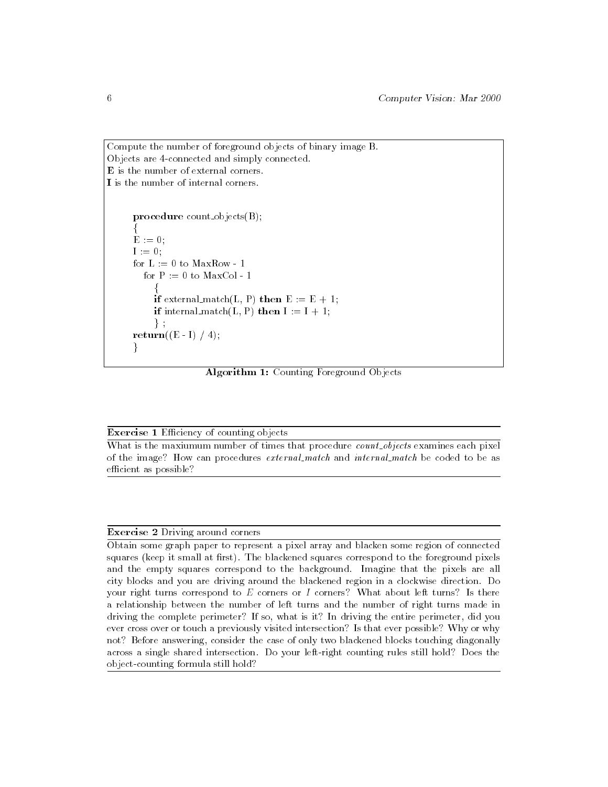```
Compute the number of foreground objects of binary image B.
Objects are 4-connected and simply connected.
E is the number of external corners.
I is the number of internal corners.
      procedure count objects(B);
      f
      E := 0;I := 0;
      for L := 0 to MaxRow - 1for P := 0 to MaxCol - 1
           f
          if external match(L, P) then E := E + 1;
          if internal match(L, P) then I := I + 1;
           \} ;
      return((E - I) / 4);
      \left\{ \right.
```
Algorithm 1: Counting Foreground Objects

#### **Exercise 1** Efficiency of counting objects

What is the maxiumum number of times that procedure *count\_objects* examines each pixel of the image? How can procedures external match and internal match be coded to be as efficient as possible?

#### Exercise 2 Driving around corners

Obtain some graph paper to represent a pixel array and blacken some region of connected squares (keep it small at first). The blackened squares correspond to the foreground pixels and the empty squares correspond to the background. Imagine that the pixels are all city blocks and you are driving around the blackened region in a clockwise direction. Do your right turns correspond to  $E$  corners or  $I$  corners? What about left turns? Is there a relationship between the number of left turns and the number of right turns made in driving the complete perimeter? If so, what is it? In driving the entire perimeter, did you ever cross over or touch a previously visited intersection? Is that ever possible? Why or why not? Before answering, consider the case of only two blackened blocks touching diagonally across a single shared intersection. Do your left-right counting rules still hold? Does the object-counting formula still hold?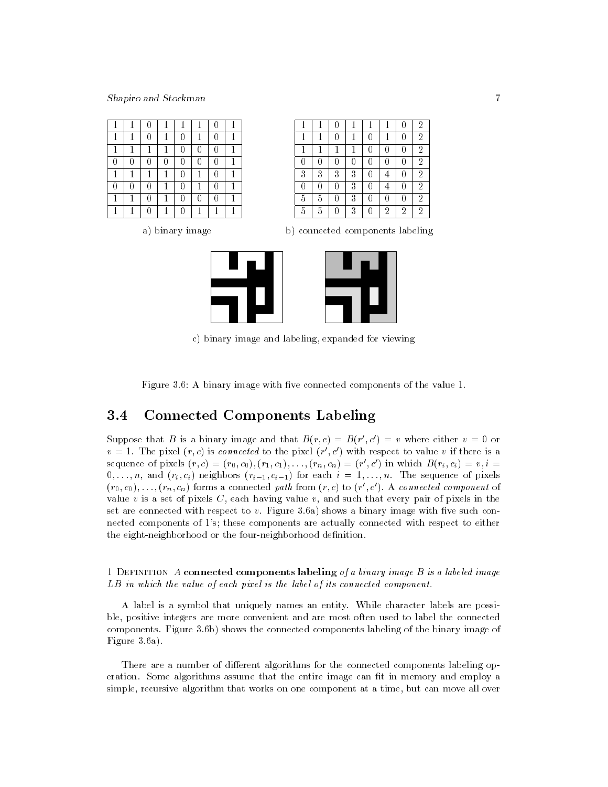|   |   |   |   |   |   | $\overline{2}$ |  |
|---|---|---|---|---|---|----------------|--|
| 1 |   |   |   |   |   | 2              |  |
| и |   |   |   |   |   | $\overline{2}$ |  |
|   |   |   |   |   |   | $\overline{2}$ |  |
| 3 | 2 | 2 | 3 |   |   | 2              |  |
|   |   |   | 3 |   |   | $\overline{2}$ |  |
| 5 | 5 |   | 3 |   |   | 2              |  |
| 5 | 5 |   | 3 | 2 | 2 | 2              |  |

a) binary image b) connected components labeling



c) binary image and labeling, expanded for viewing

Figure 3.6: A binary image with five connected components of the value 1.

# 3.4 Connected Components Labeling

Suppose that B is a binary image and that  $B(r,c) \equiv B(r^{\prime},c^{\prime}) \equiv v$  where either  $v^{\prime} \equiv 0$  or  $v = 1$ . The pixel (r,c) is connected to the pixel (r,c) with respect to value v if there is a sequence of pixels  $(r, c) = (r_0, c_0), (r_1, c_1), \ldots, (r_n, c_n) = (r_0, c_1)$  in which  $B(r_i, c_i) = v, i = 0$  $0, \ldots, n$ , and  $(r_i, c_i)$  neighbors  $(r_{i-1}, c_{i-1})$  for each  $i = 1, \ldots, n$ . The sequence of pixels  $(r_0, c_0), \ldots, (r_n, c_n)$  forms a connected path from  $(r, c)$  to  $(r_-, c_-)$ . A *connected component* of value  $v$  is a set of pixels  $C$ , each having value  $v$ , and such that every pair of pixels in the set are connected with respect to  $v$ . Figure 3.6a) shows a binary image with five such connected components of 1's; these components are actually connected with respect to either the eight-neighborhood or the four-neighborhood definition.

1 DEFINITION A connected components labeling of a binary image  $B$  is a labeled image LB in which the value of each pixel is the label of its connected component.

A label is a symbol that uniquely names an entity. While character labels are possible, positive integers are more convenient and are most often used to label the connected components. Figure 3.6b) shows the connected components labeling of the binary image of Figure 3.6a).

There are a number of different algorithms for the connected components labeling operation. Some algorithms assume that the entire image can fit in memory and employ a simple, recursive algorithm that works on one component at a time, but can move all over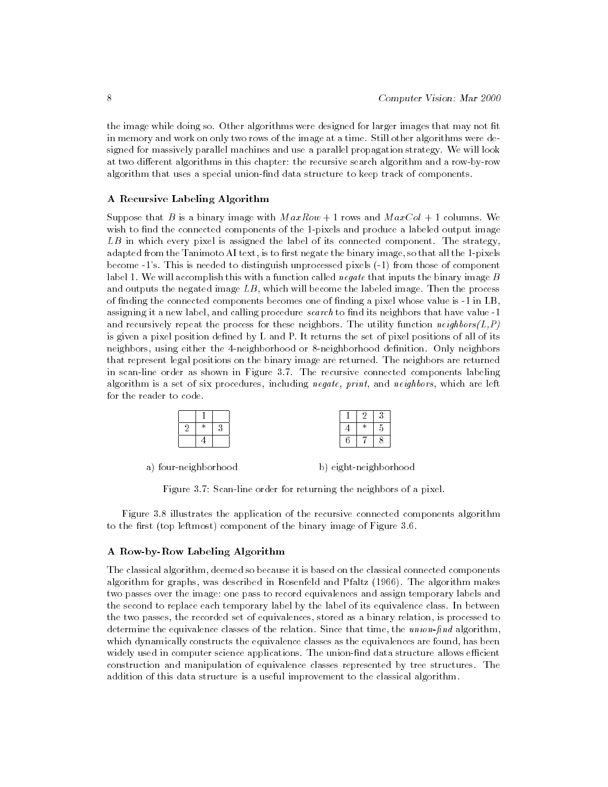the image while doing so. Other algorithms were designed for larger images that may not fit in memory and work on only two rows of the image at a time. Still other algorithms were designed for massively parallel machines and use a parallel propagation strategy. We will look at two different algorithms in this chapter: the recursive search algorithm and a row-by-row algorithm that uses a special union-nd data structure to keep track of components.

#### A Recursive Labeling Algorithm

Suppose that B is a binary image with  $MaxRow + 1$  rows and  $MaxCol + 1$  columns. We wish to find the connected components of the 1-pixels and produce a labeled output image  $LB$  in which every pixel is assigned the label of its connected component. The strategy, adapted from the Tanimoto AI text, is to first negate the binary image, so that all the 1-pixels become -1's. This is needed to distinguish unprocessed pixels (-1) from those of component label 1. We will accomplish this with a function called negate that inputs the binary image  $B$ and outputs the negated image  $LB$ , which will become the labeled image. Then the process of nding the connected components becomes one of nding a pixel whose value is -1 in LB, assigning it a new label, and calling procedure  $search$  to find its neighbors that have value -1 and recursively repeat the process for these neighbors. The utility function  $neighbor(L, P)$ is given a pixel position defined by L and P. It returns the set of pixel positions of all of its neighbors, using either the 4-neighborhood or 8-neighborhood denition. Only neighbors that represent legal positions on the binary image are returned. The neighbors are returned in scan-line order as shown in Figure 3.7. The recursive connected components labeling algorithm is a set of six procedures, including *negate, print*, and *neighbors*, which are left for the reader to code.

a) four-neighborhood b) eight-neighborhood

Figure 3.7: Scan-line order for returning the neighbors of a pixel.

Figure 3.8 illustrates the application of the recursive connected components algorithm to the first (top leftmost) component of the binary image of Figure 3.6.

#### A Row-by-Row Labeling Algorithm

The classical algorithm, deemed so because it is based on the classical connected components algorithm for graphs, was described in Rosenfeld and Pfaltz (1966). The algorithm makes two passes over the image: one pass to record equivalences and assign temporary labels and the second to replace each temporary label by the label of its equivalence class. In between the two passes, the recorded set of equivalences, stored as a binary relation, is processed to determine the equivalence classes of the relation. Since that time, the  $union\text{-}find$  algorithm, which dynamically constructs the equivalence classes as the equivalences are found, has been widely used in computer science applications. The union-find data structure allows efficient construction and manipulation of equivalence classes represented by tree structures. The addition of this data structure is a useful improvement to the classical algorithm.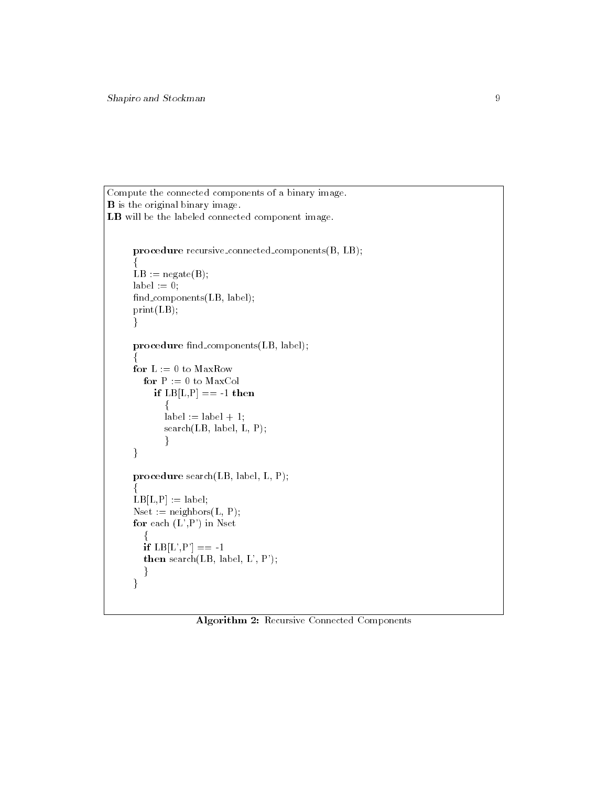```
Compute the connected components of a binary image.
B is the original binary image.
LB will be the labeled connected component image.
     procedure recursive connected components(B, LB);
      f
     LB := negative(B);label := 0;find_components(LB, label);
     print(LB);
     }
     procedure find_components(LB, label);
      f
     for L := 0 to MaxRowfor P := 0 to MaxCol
         if LB[L,P] == -1 then
            \{label := label + 1;search(LB, label, L, P);
            \}\}procedure search(LB, label, L, P);
      f
     LB[L,P] := label;Nset := neighbors(L, P);for each (L', P') in Nset
        f
       if LB[L', P'] == -1then search(LB, label, L', P');
       \}\}
```
Algorithm 2: Recursive Connected Components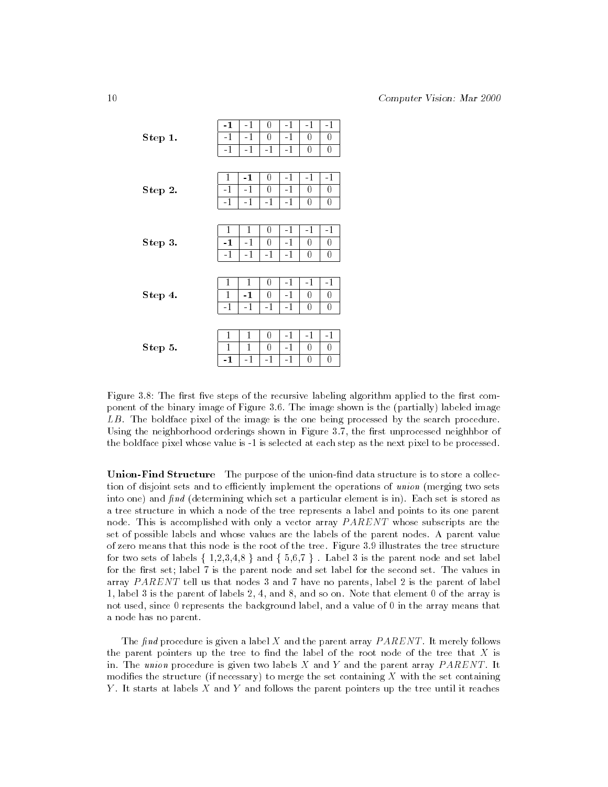|         | $-1$         | $-1$         | 0         | $-1$         | $-1$   | $-1$     |
|---------|--------------|--------------|-----------|--------------|--------|----------|
| Step 1. | $-1$<br>$-1$ | $-1$<br>$-1$ | 0<br>$-1$ | $-1$<br>$-1$ | 0<br>0 | 0<br>0   |
|         |              |              |           |              |        |          |
|         | $\mathbf{1}$ | $-1$         | 0         | $-1$         | $-1$   | $-1$     |
| Step 2. | $-1$         | $-1$         | 0         | $-1$         | 0      | 0        |
|         | $-1$         | $-1$         | $-1$      | $-1$         | 0      | 0        |
|         |              |              |           |              |        |          |
|         | $\mathbf{1}$ | 1            | 0         | $-1$         | $-1$   | $-1$     |
| Step 3. | $-1$         | $-1$         | 0         | $-1$         | 0      | 0        |
|         | $-1$         | $-1$         | $-1$      | $-1$         | 0      | 0        |
|         |              |              |           |              |        |          |
|         | 1            | $\mathbf{1}$ | 0         | $-1$         | $-1$   | $-1$     |
| Step 4. | 1            | $-1$         | 0         | $-1$         | 0      | 0        |
|         | $-1$         | $-1$         | $-1$      | $-1$         | 0      | 0        |
|         |              |              |           |              |        |          |
|         | 1            | 1            | 0         | $-1$         | $-1$   | $-1$     |
| Step 5. | 1            | 1            | 0         | $-1$         | 0      | 0        |
|         | -1           | $-1$         | $-1$      | -1           | 0      | $\bf{0}$ |

Figure 3.8: The first five steps of the recursive labeling algorithm applied to the first component of the binary image of Figure 3.6. The image shown is the (partially) labeled image LB. The boldface pixel of the image is the one being processed by the search procedure. Using the neighborhood orderings shown in Figure 3.7, the first unprocessed neighhbor of the boldface pixel whose value is -1 is selected at each step as the next pixel to be processed.

Union-Find Structure The purpose of the union-find data structure is to store a collection of disjoint sets and to efficiently implement the operations of union (merging two sets into one) and  $\hat{h}nd$  (determining which set a particular element is in). Each set is stored as a tree structure in which a node of the tree represents a label and points to its one parent node. This is accomplished with only a vector array  $PARENT$  whose subscripts are the set of possible labels and whose values are the labels of the parent nodes. A parent value of zero means that this node is the root of the tree. Figure 3.9 illustrates the tree structure for two sets of labels  $\{1,2,3,4,8\}$  and  $\{5,6,7\}$ . Label 3 is the parent node and set label for the first set; label 7 is the parent node and set label for the second set. The values in array  $PARENT$  tell us that nodes 3 and 7 have no parents, label 2 is the parent of label 1, label 3 is the parent of labels 2, 4, and 8, and so on. Note that element 0 of the array is not used, since 0 represents the background label, and a value of 0 in the array means that a node has no parent.

The find procedure is given a label  $X$  and the parent array  $PARENT$ . It merely follows the parent pointers up the tree to find the label of the root node of the tree that  $X$  is in. The union procedure is given two labels  $X$  and  $Y$  and the parent array  $PARENT$ . It modifies the structure (if necessary) to merge the set containing  $X$  with the set containing Y. It starts at labels  $X$  and  $Y$  and follows the parent pointers up the tree until it reaches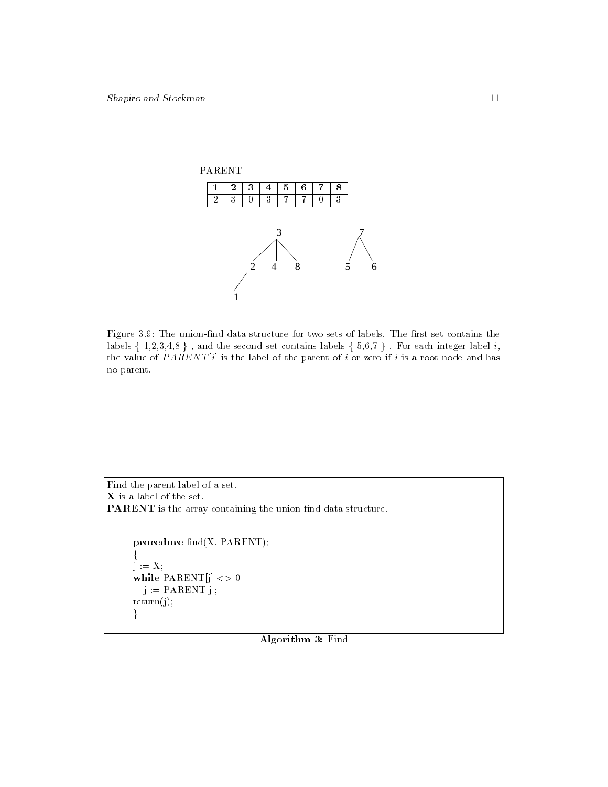

Figure 3.9: The union-find data structure for two sets of labels. The first set contains the labels  $\{ 1,2,3,4,8 \}$ , and the second set contains labels  $\{ 5,6,7 \}$ . For each integer label i, the value of  $PARENT[i]$  is the label of the parent of i or zero if i is a root node and has no parent.

```
Find the parent label of a set.
\boldsymbol{\mathrm{X}} is a label of the set.
PARENT is the array containing the union-find data structure.
      procedure find(X, PARENT);
      f
      j := X;while \text{PARENT}[j] \ll 0j := PARENT[j];return(j);g
```
Algorithm 3: Find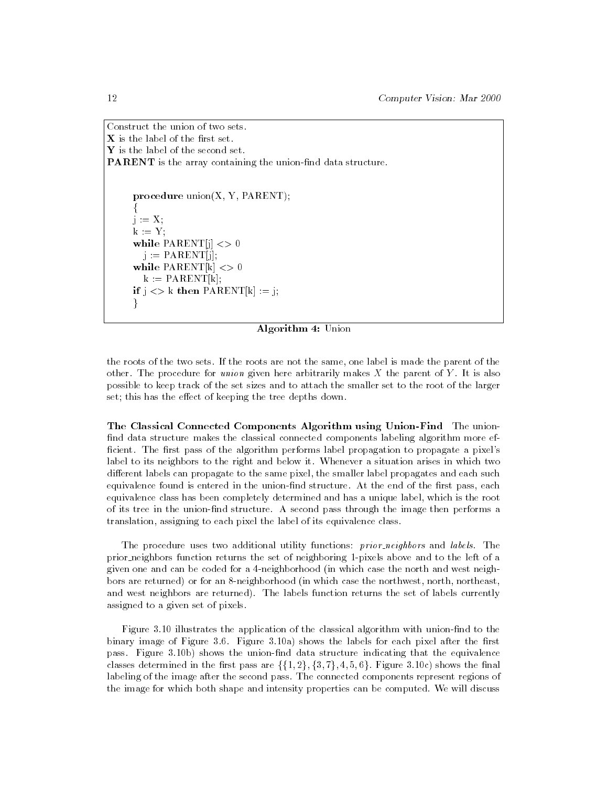Construct the union of two sets.  $X$  is the label of the first set.  $\mathbf Y$  is the label of the second set. **PARENT** is the array containing the union-find data structure.

```
procedure union(X, Y, PARENT);
f
i := X;
k := Y;
while \text{PARENT}[j] \ll 0j := PARENT[j];while \text{PARENT}[k] \ll 0k := PARENT[k];if j \ll k then PARENT[k] := j;
\mathcal{L}_{\mathcal{L}}
```
#### Algorithm 4: Union

the roots of the two sets. If the roots are not the same, one label is made the parent of the other. The procedure for union given here arbitrarily makes  $X$  the parent of  $Y$ . It is also possible to keep track of the set sizes and to attach the smaller set to the root of the larger set; this has the effect of keeping the tree depths down.

The Classical Connected Components Algorithm using Union-Find The union find data structure makes the classical connected components labeling algorithm more efficient. The first pass of the algorithm performs label propagation to propagate a pixel's label to its neighbors to the right and below it. Whenever a situation arises in which two different labels can propagate to the same pixel, the smaller label propagates and each such equivalence found is entered in the union-find structure. At the end of the first pass, each equivalence class has been completely determined and has a unique label, which is the root of its tree in the union-nd structure. A second pass through the image then performs a translation, assigning to each pixel the label of its equivalence class.

The procedure uses two additional utility functions: *prior\_neighbors* and *labels*. The prior neighbors function returns the set of neighboring 1-pixels above and to the left of a given one and can be coded for a 4-neighborhood (in which case the north and west neighbors are returned) or for an 8-neighborhood (in which case the northwest, north, northeast, and west neighbors are returned). The labels function returns the set of labels currently assigned to a given set of pixels.

Figure 3.10 illustrates the application of the classical algorithm with union-find to the binary image of Figure  $3.6$ . Figure  $3.10a$ ) shows the labels for each pixel after the first pass. Figure 3.10b) shows the union-find data structure indicating that the equivalence classes determined in the first pass are  $\{\{1,2\},\{3,7\},4,5,6\}$ . Figure 3.10c) shows the final labeling of the image after the second pass. The connected components represent regions of the image for which both shape and intensity properties can be computed. We will discuss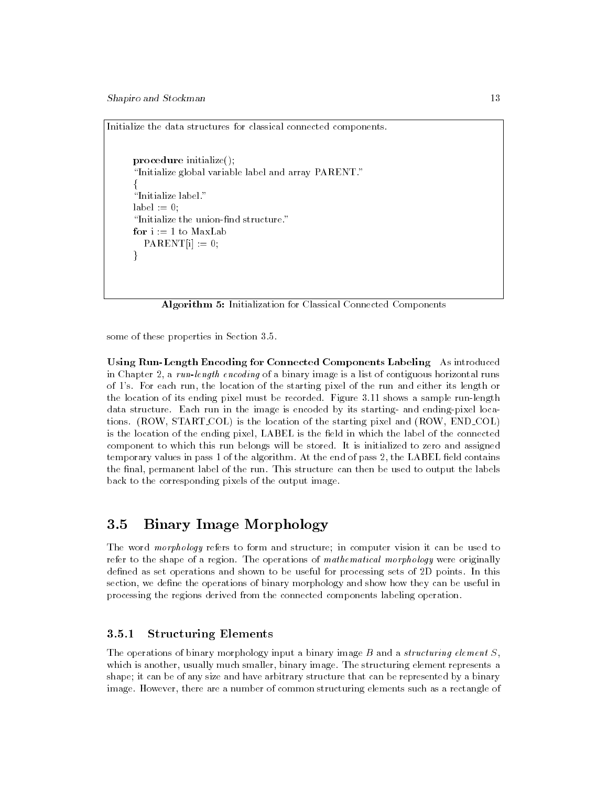Initialize the data structures for classical connected components.

```
procedure initialize();
"Initialize global variable label and array PARENT."
f
"Initialize label."
label := 0;
"Initialize the union-find structure."
  PARENT[i] := 0;\}
```
Algorithm 5: Initialization for Classical Connected Components

some of these properties in Section 3.5.

Using Run-Length Encoding for Connected Components Labeling As introduced in Chapter 2, a run-length encoding of a binary image is a list of contiguous horizontal runs of 1's. For each run, the location of the starting pixel of the run and either its length or the location of its ending pixel must be recorded. Figure 3.11 shows a sample run-length data structure. Each run in the image is encoded by its starting- and ending-pixel locations. (ROW, START COL) is the location of the starting pixel and (ROW, END COL) is the location of the ending pixel, LABEL is the field in which the label of the connected component to which this run belongs will be stored. It is initialized to zero and assigned temporary values in pass 1 of the algorithm. At the end of pass  $2$ , the LABEL field contains the final, permanent label of the run. This structure can then be used to output the labels back to the corresponding pixels of the output image.

# 3.5 Binary Image Morphology

The word *morphology* refers to form and structure; in computer vision it can be used to refer to the shape of a region. The operations of mathematical morphology were originally defined as set operations and shown to be useful for processing sets of 2D points. In this section, we define the operations of binary morphology and show how they can be useful in processing the regions derived from the connected components labeling operation.

#### $3.5.1$ **Structuring Elements**

The operations of binary morphology input a binary image  $B$  and a *structuring element*  $S$ , which is another, usually much smaller, binary image. The structuring element represents a shape; it can be of any size and have arbitrary structure that can be represented by a binary image. However, there are a number of common structuring elements such as a rectangle of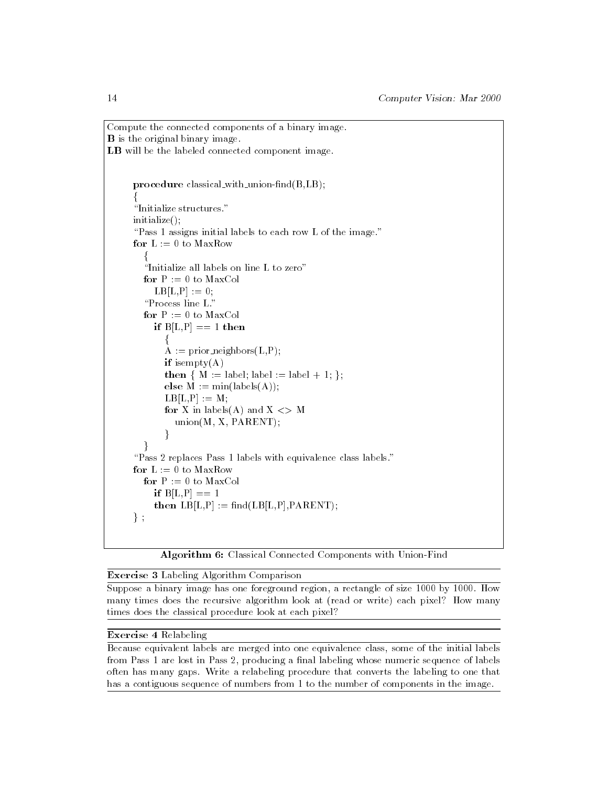```
Compute the connected components of a binary image.
B is the original binary image.
LB will be the labeled connected component image.
     procedure classical with union-find(B, LB);
      f
      "Initialize structures."
     initialize();
      "Pass 1 assigns initial labels to each row L of the image."
     for L := 0 to MaxRow
        f
        "Initialize all labels on line L to zero"
        for P := 0 to MaxColLB[L,P] := 0;"Process line L."
        for P := 0 to MaxCol
          if B[L, P] == 1 then
             \{A := prior\_neighbors(L, P);if isempty(A)then {M := label; label := label + 1; };
             else M := min(labels(A));LB[L,P] := M;for X in labels(A) and X \leq Munion(M, X, PARENT);\mathcal{F}_{\mathcal{F}}\}"Pass 2 replaces Pass 1 labels with equivalence class labels."
     for L := 0 to MaxRowfor P := 0 to MaxColif B[L,P] == 1then LB[L, P] := \text{find}(LB[L, P], PARENT);\} ;
```
Algorithm 6: Classical Connected Components with Union-Find

## Exercise 3 Labeling Algorithm Comparison

Suppose a binary image has one foreground region, a rectangle of size 1000 by 1000. How many times does the recursive algorithm look at (read or write) each pixel? How many times does the classical procedure look at each pixel?

## Exercise 4 Relabeling

Because equivalent labels are merged into one equivalence class, some of the initial labels from Pass 1 are lost in Pass 2, producing a final labeling whose numeric sequence of labels often has many gaps. Write a relabeling procedure that converts the labeling to one that has a contiguous sequence of numbers from 1 to the number of components in the image.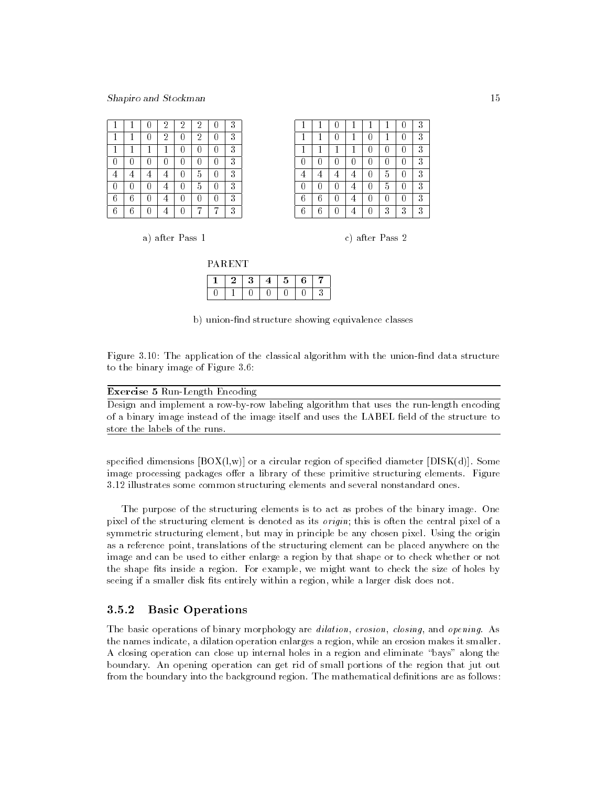|   |   |   | $\overline{2}$ | 2 | $\overline{2}$ | 3 |  |
|---|---|---|----------------|---|----------------|---|--|
|   |   |   | $\overline{2}$ |   | $\overline{2}$ | 3 |  |
|   |   | и | 1              |   |                | 3 |  |
|   |   |   |                |   |                | 3 |  |
|   |   |   |                |   | 5              | 3 |  |
|   |   |   |                |   | 5              | 3 |  |
| 6 | ჩ |   |                |   | 0              | 3 |  |
| 6 | 6 |   |                |   |                | 3 |  |

|   |   |  |   |   | 0 | 3 |  |
|---|---|--|---|---|---|---|--|
| 1 |   |  |   |   | 0 | 3 |  |
| C |   |  | ı |   | H | 3 |  |
| 4 |   |  |   | 5 | 0 | 3 |  |
| 0 |   |  |   | 5 | 0 | 3 |  |
| 6 | 6 |  |   |   | 0 | 3 |  |
| 6 | Բ |  |   | 3 | 3 | 3 |  |

a) after Pass 1 c) after Pass 2

| <b>PARENT</b> |     |   |   |  |
|---------------|-----|---|---|--|
|               | -3- | 5 | հ |  |
|               |     |   |   |  |

0 1 0 1 0 1 0 1 0 1 0 1

b) union-find structure showing equivalence classes

 $\overline{3}$ 

Figure 3.10: The application of the classical algorithm with the union-find data structure to the binary image of Figure 3.6:

| <b>Exercise 5 Run-Length Encoding</b>                                                      |
|--------------------------------------------------------------------------------------------|
| Design and implement a row-by-row labeling algorithm that uses the run-length encoding     |
| of a binary image instead of the image itself and uses the LABEL field of the structure to |
| store the labels of the runs.                                                              |

specified dimensions  $[**BOX(**1,w)]$  or a circular region of specified diameter  $[**DISK(d)**]$ . Some image processing packages offer a library of these primitive structuring elements. Figure 3.12 illustrates some common structuring elements and several nonstandard ones.

The purpose of the structuring elements is to act as probes of the binary image. One pixel of the structuring element is denoted as its origin; this is often the central pixel of a symmetric structuring element, but may in principle be any chosen pixel. Using the origin as a reference point, translations of the structuring element can be placed anywhere on the image and can be used to either enlarge a region by that shape or to check whether or not the shape fits inside a region. For example, we might want to check the size of holes by seeing if a smaller disk fits entirely within a region, while a larger disk does not.

#### 3.5.2 **Basic Operations**

The basic operations of binary morphology are dilation, erosion, closing, and opening. As the names indicate, a dilation operation enlarges a region, while an erosion makes it smaller. A closing operation can close up internal holes in a region and eliminate "bays" along the boundary. An opening operation can get rid of small portions of the region that jut out from the boundary into the background region. The mathematical definitions are as follows: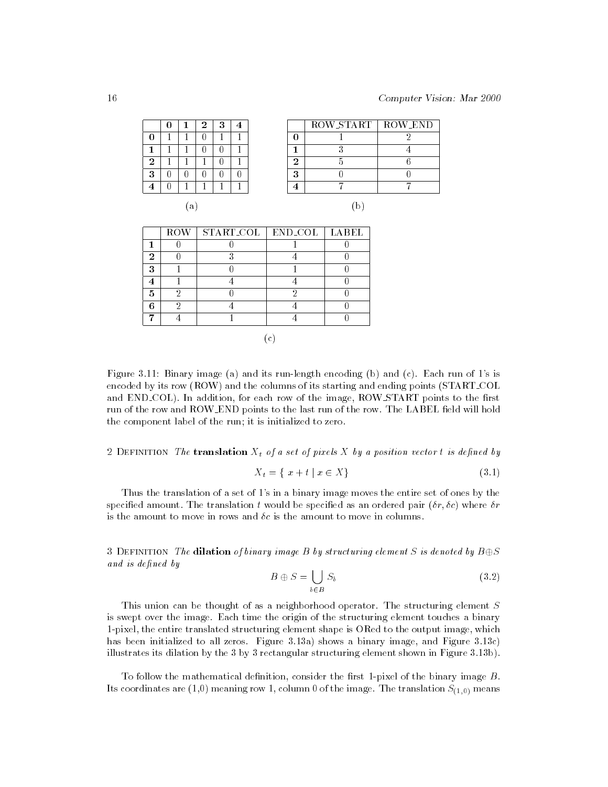|   | ı | 2 | 3 |        | ROW START   ROW END |  |
|---|---|---|---|--------|---------------------|--|
|   |   |   |   |        |                     |  |
|   |   |   |   |        |                     |  |
| ച |   |   |   | ന      |                     |  |
| 3 |   |   |   | ິ<br>đ |                     |  |
|   |   |   |   |        |                     |  |
|   |   |   |   |        | $\sqrt{2}$          |  |

(a) (b)

|   | ROW | START_COL   END_COL   LABEL |  |
|---|-----|-----------------------------|--|
|   |     |                             |  |
| ŋ |     |                             |  |
| З |     |                             |  |
|   |     |                             |  |
| 5 |     |                             |  |
| G |     |                             |  |
|   |     |                             |  |
|   |     |                             |  |

(c)

Figure 3.11: Binary image (a) and its run-length encoding (b) and (c). Each run of 1's is encoded by its row (ROW) and the columns of its starting and ending points (START COL and END\_COL). In addition, for each row of the image, ROW\_START points to the first run of the row and ROW\_END points to the last run of the row. The LABEL field will hold the component label of the run; it is initialized to zero.

2 DEFINITION The translation  $X_t$  of a set of pixels X by a position vector t is defined by

$$
X_t = \{ x + t \mid x \in X \}
$$
\n(3.1)

Thus the translation of a set of 1's in a binary image moves the entire set of ones by the specified amount. The translation t would be specified as an ordered pair  $(\delta r, \delta c)$  where  $\delta r$ is the amount to move in rows and  $\delta c$  is the amount to move in columns.

3 DEFINITION The dilation of binary image B by structuring element S is denoted by  $B\oplus S$ and is defined by

b2B

$$
B \oplus S = \bigcup_{b \in B} S_b \tag{3.2}
$$

This union can be thought of as a neighborhood operator. The structuring element S is swept over the image. Each time the origin of the structuring element touches a binary 1-pixel, the entire translated structuring element shape is ORed to the output image, which has been initialized to all zeros. Figure 3.13a) shows a binary image, and Figure 3.13c) illustrates its dilation by the 3 by 3 rectangular structuring element shown in Figure 3.13b).

To follow the mathematical definition, consider the first 1-pixel of the binary image  $B$ . Its coordinates are  $(1,0)$  meaning row 1, column 0 of the image. The translation  $S_{(1,0)}$  means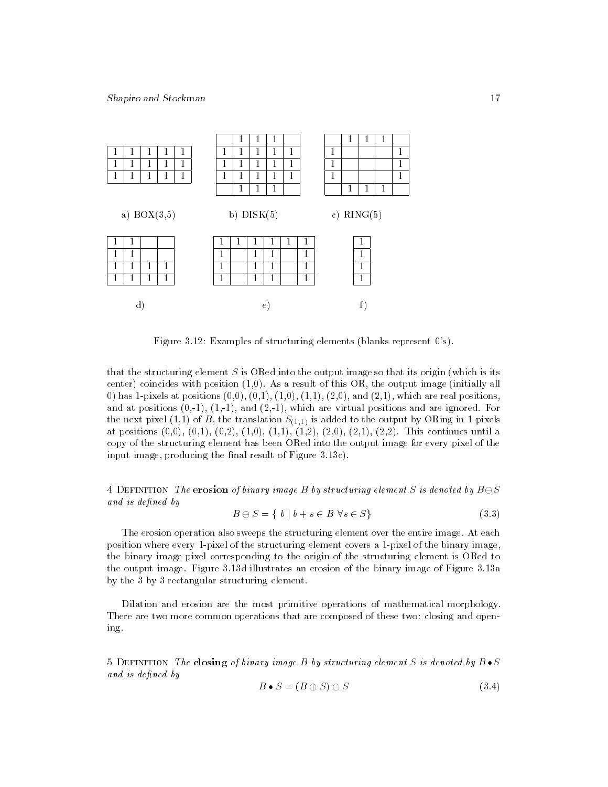

Figure 3.12: Examples of structuring elements (blanks represent 0's).

that the structuring element  $S$  is ORed into the output image so that its origin (which is its center) coincides with position  $(1,0)$ . As a result of this OR, the output image (initially all 0) has 1-pixels at positions  $(0,0)$ ,  $(0,1)$ ,  $(1,0)$ ,  $(1,1)$ ,  $(2,0)$ , and  $(2,1)$ , which are real positions, and at positions  $(0,-1)$ ,  $(1,-1)$ , and  $(2,-1)$ , which are virtual positions and are ignored. For the next pixel (1,1) of B, the translation  $S_{(1,1)}$  is added to the output by ORing in 1-pixels at positions  $(0,0), (0,1), (0,2), (1,0), (1,1), (1,2), (2,0), (2,1), (2,2)$ . This continues until a copy of the structuring element has been ORed into the output image for every pixel of the input image, producing the final result of Figure  $3.13c$ ).

4 DEFINITION The erosion of binary image B by structuring element S is denoted by  $B\ominus S$ and is defined by

$$
B \ominus S = \{ b \mid b + s \in B \,\,\forall s \in S \}
$$
\n
$$
(3.3)
$$

The erosion operation also sweeps the structuring element over the entire image. At each position where every 1-pixel of the structuring element covers a 1-pixel of the binary image, the binary image pixel corresponding to the origin of the structuring element is ORed to the output image. Figure 3.13d illustrates an erosion of the binary image of Figure 3.13a by the 3 by 3 rectangular structuring element.

Dilation and erosion are the most primitive operations of mathematical morphology. There are two more common operations that are composed of these two: closing and opening.

5 DEFINITION The closing of binary image B by structuring element S is denoted by  $B \bullet S$ and is defined by

$$
B \bullet S = (B \oplus S) \ominus S \tag{3.4}
$$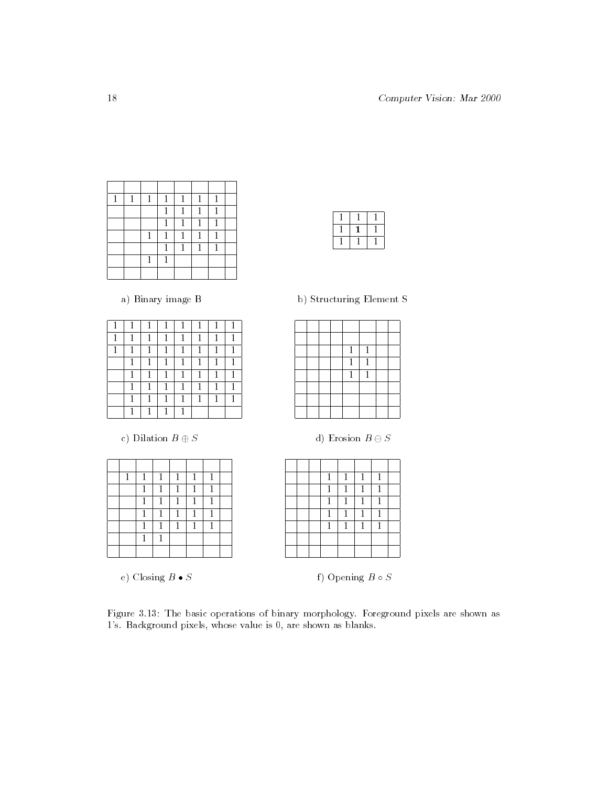| 1 | и | 1 | 1 | 1 | 1            | 1 |  |
|---|---|---|---|---|--------------|---|--|
|   |   |   | 1 | 1 | 1            | 1 |  |
|   |   |   | 1 | 1 | 1            | 1 |  |
|   |   |   | 1 | 1 | 1            | 1 |  |
|   |   |   | 1 | 1 | $\mathbf{1}$ | 1 |  |
|   |   |   |   |   |              |   |  |
|   |   |   |   |   |              |   |  |

a) Binary image B b) Structuring Element S

|   | 1 | 1 |  | и |
|---|---|---|--|---|
|   |   |   |  |   |
|   |   | я |  |   |
|   |   |   |  |   |
|   |   |   |  |   |
|   |   |   |  |   |
| 1 |   | п |  |   |

 1  $1 \mid 1$ 

1

c) Dilation  $B \oplus S$  d) Erosion  $B \ominus S$ 

| 1 | 1 | 1 | 1 | 1 | 1 |  |
|---|---|---|---|---|---|--|
|   | d |   | d |   |   |  |
|   | 1 | и | 1 | и | d |  |
|   | d |   |   |   |   |  |
|   | d |   | и | и |   |  |
|   | 1 |   |   |   |   |  |
|   |   |   |   |   |   |  |

|  | $\mathbf{1}$ | $\mathbf{1}$ | $\mathbf{1}$ | 1 |  |
|--|--------------|--------------|--------------|---|--|
|  | 1            | $\mathbf{1}$ | 1            | 1 |  |
|  | $\mathbf{1}$ | 1            | $\mathbf{1}$ |   |  |
|  | $\mathbf{1}$ | 1            | 1            | 1 |  |
|  | $\mathbf{1}$ | 1            | 1            |   |  |
|  |              |              |              |   |  |
|  |              |              |              |   |  |

e) Closing  $B \bullet S$  f) Opening  $B \circ S$ 

Figure 3.13: The basic operations of binary morphology. Foreground pixels are shown as 's. Background pixels, whose value is 0, are shown as blanks.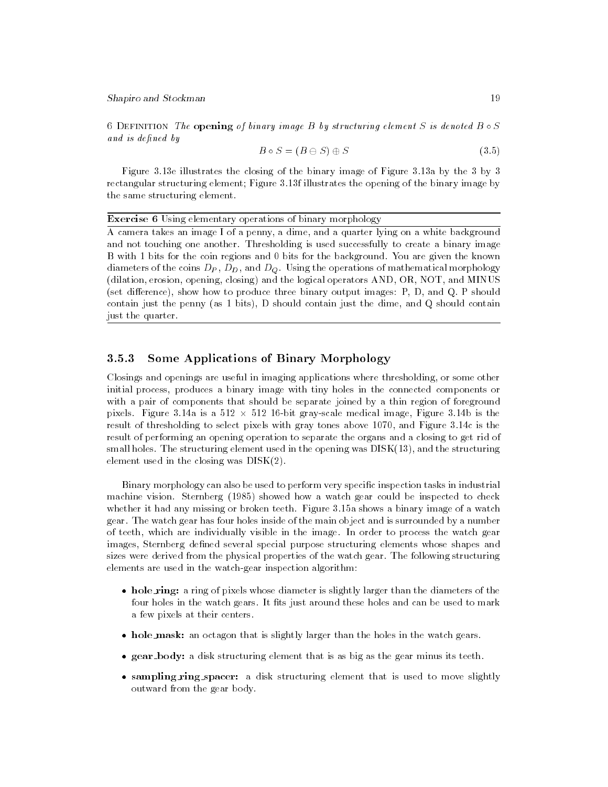6 DEFINITION The opening of binary image B by structuring element S is denoted  $B \circ S$ and is defined by

$$
B \circ S = (B \ominus S) \oplus S \tag{3.5}
$$

Figure 3.13e illustrates the closing of the binary image of Figure 3.13a by the 3 by 3 rectangular structuring element; Figure 3.13f illustrates the opening of the binary image by the same structuring element.

#### Exercise 6 Using elementary operations of binary morphology

A camera takes an image I of a penny, a dime, and a quarter lying on a white background and not touching one another. Thresholding is used successfully to create a binary image B with 1 bits for the coin regions and 0 bits for the background. You are given the known diameters of the coins  $D_P$ ,  $D_D$ , and  $D_Q$ . Using the operations of mathematical morphology (dilation, erosion, opening, closing) and the logical operators AND, OR, NOT, and MINUS (set difference), show how to produce three binary output images:  $P$ ,  $D$ , and  $Q$ .  $P$  should contain just the penny (as 1 bits), D should contain just the dime, and Q should contain just the quarter.

#### Some Applications of Binary Morphology  $3.5.3$

Closings and openings are useful in imaging applications where thresholding, or some other initial process, produces a binary image with tiny holes in the connected components or with a pair of components that should be separate joined by a thin region of foreground pixels. Figure 3.14a is a 512  $\times$  512 16-bit gray-scale medical image, Figure 3.14b is the  $$ result of thresholding to select pixels with gray tones above 1070, and Figure 3.14c is the result of performing an opening operation to separate the organs and a closing to get rid of small holes. The structuring element used in the opening was DISK(13), and the structuring element used in the closing was  $DISK(2)$ .

Binary morphology can also be used to perform very specific inspection tasks in industrial machine vision. Sternberg (1985) showed howawatch gear could be inspected to check whether it had any missing or broken teeth. Figure 3.15a shows a binary image of a watch gear. The watch gear has four holes inside of the main object and is surrounded byanumber of teeth, which are individually visible in the image. In order to process the watch gear images, Sternberg defined several special purpose structuring elements whose shapes and sizes were derived from the physical properties of the watch gear. The following structuring elements are used in the watch-gear inspection algorithm:

- $\bullet$  hole $\verb|ring:$  a ring of pixels whose diameter is slightly larger than the diameters of the  $\blacksquare$ four holes in the watch gears. It fits just around these holes and can be used to mark a few pixels at their centers.
- $\bullet$  hole\_mask: an octagon that is slightly larger than the holes in the watch gears.
- $\bullet$  gear\_body: a disk structuring element that is as big as the gear minus its teeth.  $\bullet$
- $\bullet$  sampling ring spacer: a disk structuring element that is used to move slightly  $$ outward from the gear body.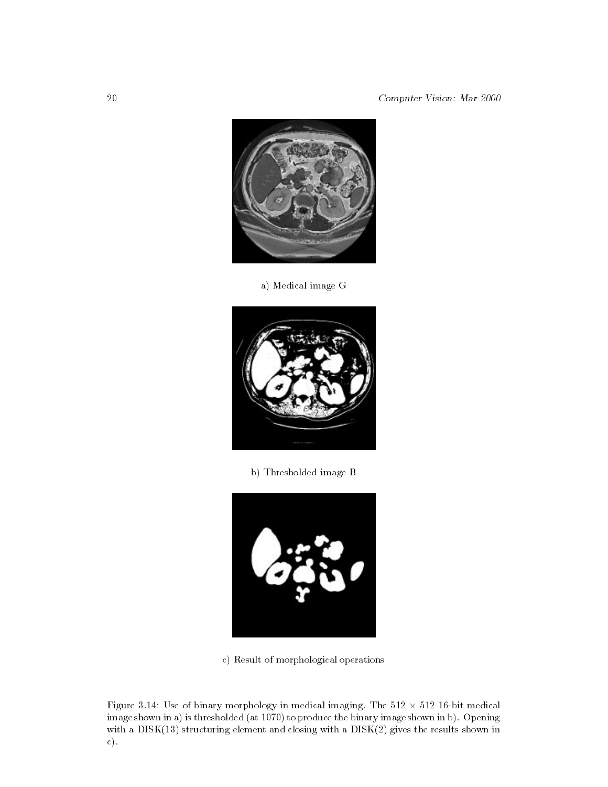

a) Medical image G



b) Thresholded image B



c) Result of morphological operations

Figure 3.14: Use of binary morphology in medical imaging. The 512  $\times$  512 16-bit medical  $$ image shown in a) is thresholded (at 1070) to produce the binary image shown in b). Opening with a DISK(13) structuring element and closing with a DISK(2) gives the results shown in c).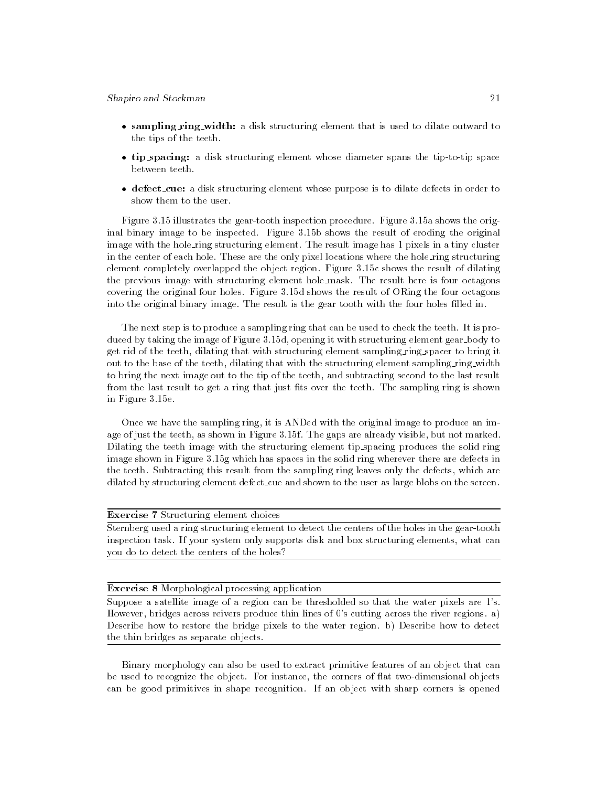- $\bullet$  sampling ring width: a disk structuring element that is used to dilate outward to  $\bullet$ the tips of the teeth.
- $\bullet$  tip spacing: a disk structuring element whose diameter spans the tip-to-tip space  $\bullet$ between teeth.
- $\bullet$  defect cue: a disk structuring element whose purpose is to dilate defects in order to  $\bullet$ show them to the user.

Figure 3.15 illustrates the gear-tooth inspection procedure. Figure 3.15a shows the original binary image to be inspected. Figure 3.15b shows the result of eroding the original image with the hole\_ring structuring element. The result image has 1 pixels in a tiny cluster in the center of each hole. These are the only pixel locations where the hole ring structuring element completely overlapped the object region. Figure 3.15c shows the result of dilating the previous image with structuring element hole mask. The result here is four octagons covering the original four holes. Figure 3.15d shows the result of ORing the four octagons into the original binary image. The result is the gear tooth with the four holes filled in.

The next step is to produce a sampling ring that can be used to check the teeth. It is produced by taking the image of Figure 3.15d, opening it with structuring element gear body to get rid of the teeth, dilating that with structuring element sampling ring spacer to bring it out to the base of the teeth, dilating that with the structuring element sampling ring width to bring the next image out to the tip of the teeth, and subtracting second to the last result from the last result to get a ring that just fits over the teeth. The sampling ring is shown in Figure 3.15e.

Once we have the sampling ring, it is ANDed with the original image to produce an image of just the teeth, as shown in Figure 3.15f. The gaps are already visible, but not marked. Dilating the teeth image with the structuring element tip spacing produces the solid ring image shown in Figure 3.15g which has spaces in the solid ring wherever there are defects in the teeth. Subtracting this result from the sampling ring leaves only the defects, which are dilated by structuring element defect cue and shown to the user as large blobs on the screen.

#### Exercise 7 Structuring element choices

Sternberg used a ring structuring element to detect the centers of the holes in the gear-tooth inspection task. If your system only supports disk and box structuring elements, what can you do to detect the centers of the holes?

#### Exercise 8 Morphological processing application

Suppose a satellite image of a region can be thresholded so that the water pixels are 1's. However, bridges across reivers produce thin lines of 0's cutting across the river regions. a) Describe how to restore the bridge pixels to the water region. b) Describe how to detect the thin bridges as separate objects.

Binary morphology can also be used to extract primitive features of an object that can be used to recognize the object. For instance, the corners of flat two-dimensional objects can be good primitives in shape recognition. If an object with sharp corners is opened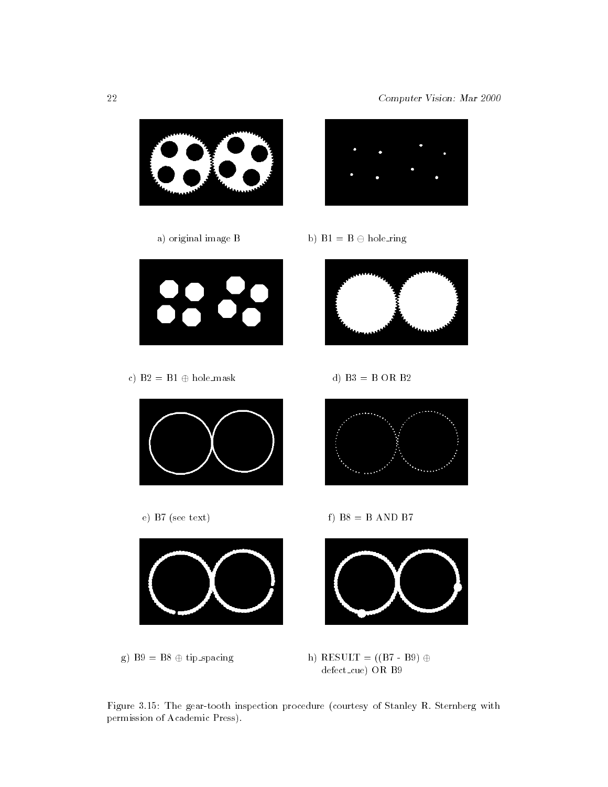

Figure 3.15: The gear-tooth inspection procedure (courtesy of Stanley R. Sternberg with permission of Academic Press).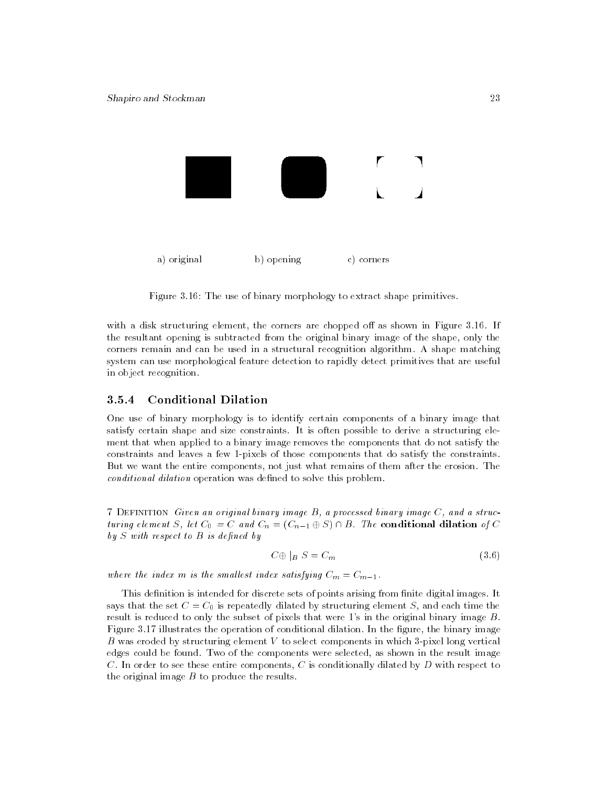

Figure 3.16: The use of binary morphology to extract shape primitives.

with a disk structuring element, the corners are chopped off as shown in Figure  $3.16$ . If the resultant opening is subtracted from the original binary image of the shape, only the corners remain and can be used in a structural recognition algorithm. A shape matching system can use morphological feature detection to rapidly detect primitives that are useful in object recognition.

#### 3.5.4 3.5.4 Conditional Dilation

One use of binary morphology is to identify certain components of a binary image that satisfy certain shape and size constraints. It is often possible to derive a structuring ele ment that when applied to a binary image removes the components that do not satisfy the constraints and leaves a few 1-pixels of those components that do satisfy the constraints. But we want the entire components, not just what remains of them after the erosion. The conditional dilation operation was defined to solve this problem.

7 Definition Given an original binary image B, a processed binary image C, and a structuring element S, let  $C_0 = C$  and  $C_n = (C_{n-1} \oplus S) \cap B$ . The conditional dilation of C  $by S$  with respect to  $B$  is defined by

$$
C \oplus |_B S = C_m \tag{3.6}
$$

where the index m is the smallest index satisfying  $C_m = C_{m-1}$ .

This definition is intended for discrete sets of points arising from finite digital images. It says that the set  $C = C_0$  is repeatedly dilated by structuring element S, and each time the result is reduced to only the subset of pixels that were 1's in the original binary image B. Figure 3.17 illustrates the operation of conditional dilation. In the figure, the binary image B was eroded by structuring element  $V$  to select components in which 3-pixel long vertical edges could be found. Two of the components were selected, as shown in the result image C. In order to see these entire components, C is conditionally dilated by  $D$  with respect to the original image  $B$  to produce the results.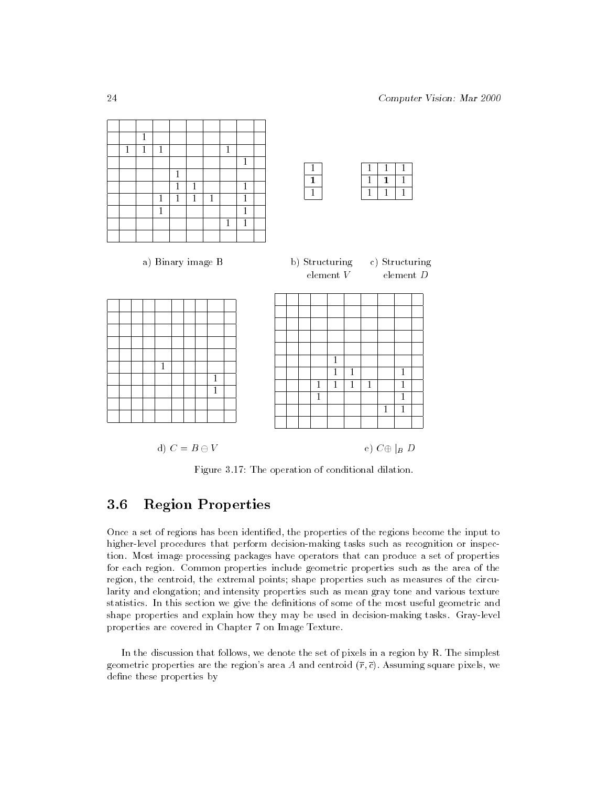

Figure 3.17: The operation of conditional dilation.

# 3.6 Region Properties

Once a set of regions has been identied, the properties of the regions become the input to higher-level procedures that perform decision-making tasks such as recognition or inspection. Most image processing packages have operators that can produce a set of properties for each region. Common properties include geometric properties such as the area of the region, the centroid, the extremal points; shape properties such as measures of the circularity and elongation; and intensity properties such as mean gray tone and various texture statistics. In this section we give the definitions of some of the most useful geometric and shape properties and explain how they may be used in decision-making tasks. Gray-level properties are covered in Chapter 7 on Image Texture.

In the discussion that follows, we denote the set of pixels in a region by R. The simplest geometric properties are the region's area A and centroid  $(\bar{r}, \bar{c})$ . Assuming square pixels, we define these properties by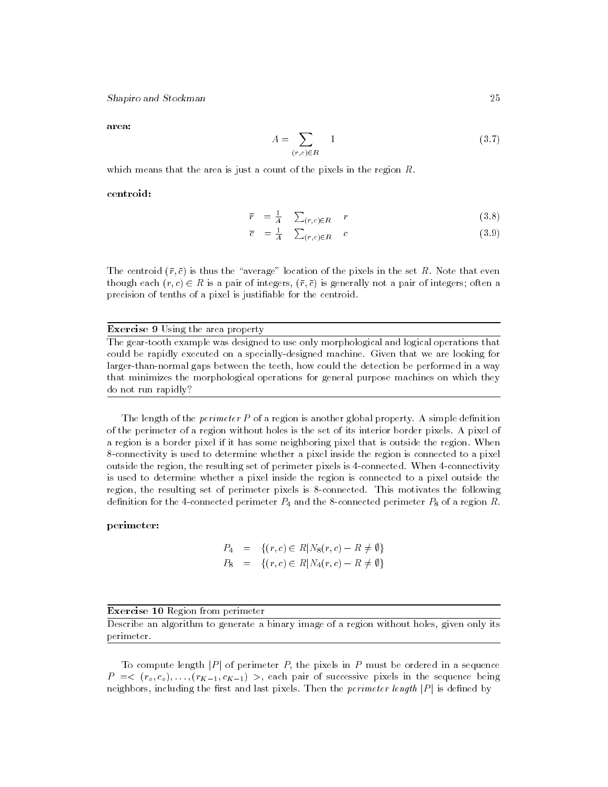area:

$$
A = \sum_{(r,c)\in R} 1 \tag{3.7}
$$

which means that the area is just a count of the pixels in the region R.

centroid:

$$
\overline{r} = \frac{1}{A} \sum_{(r,c) \in R} r \tag{3.8}
$$

$$
\overline{c} = \frac{1}{A} \sum_{(r,c) \in R} c \tag{3.9}
$$

The centroid  $(\bar{r}, \bar{c})$  is thus the "average" location of the pixels in the set R. Note that even though each  $(r, c) \in R$  is a pair of integers,  $(\bar{r}, \bar{c})$  is generally not a pair of integers; often a precision of tenths of a pixel is justiable for the centroid.

## Exercise 9 Using the area property

The gear-tooth example was designed to use only morphological and logical operations that could be rapidly executed on a specially-designed machine. Given that we are looking for larger-than-normal gaps between the teeth, how could the detection be performed in a way that minimizes the morphological operations for general purpose machines on which they do not run rapidly?

The length of the *perimeter*  $P$  of a region is another global property. A simple definition of the perimeter of a region without holes is the set of its interior border pixels. A pixel of a region is a border pixel if it has some neighboring pixel that is outside the region. When 8-connectivity is used to determine whether a pixel inside the region is connected to a pixel outside the region, the resulting set of perimeter pixels is 4-connected. When 4-connectivity is used to determine whether a pixel inside the region is connected to a pixel outside the region, the resulting set of perimeter pixels is 8-connected. This motivates the following definition for the 4-connected perimeter  $P_4$  and the 8-connected perimeter  $P_8$  of a region R.

## perimeter:

$$
P_4 = \{ (r, c) \in R | N_8(r, c) - R \neq \emptyset \}
$$
  

$$
P_8 = \{ (r, c) \in R | N_4(r, c) - R \neq \emptyset \}
$$

Exercise 10 Region from perimeter

Describe an algorithm to generate a binary image of a region without holes, given only its perimeter.

To compute length  $|P|$  of perimeter P, the pixels in P must be ordered in a sequence  $P = \langle (r_o, c_o), \ldots, (r_{K-1}, c_{K-1}) \rangle$ , each pair of successive pixels in the sequence being neighbors, including the first and last pixels. Then the *perimeter length*  $|P|$  is defined by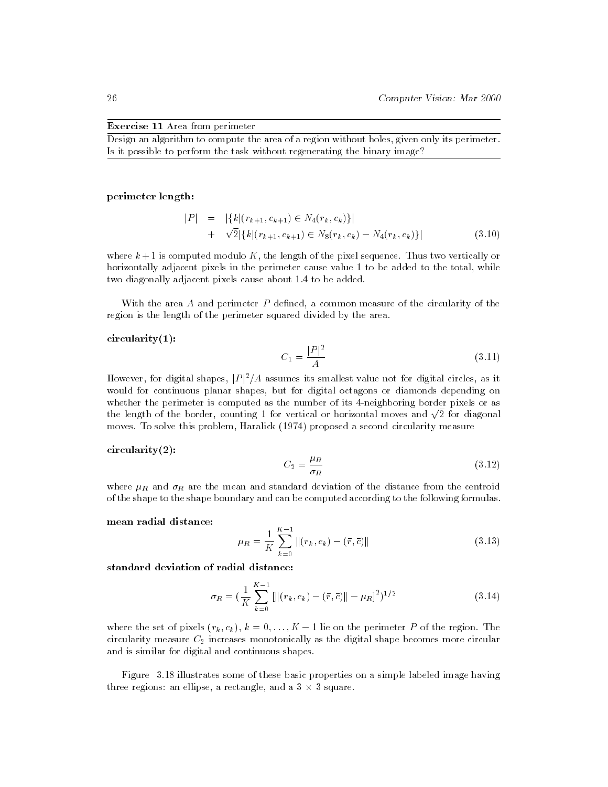#### Exercise 11 Area from perimeter

Design an algorithm to compute the area of a region without holes, given only its perimeter. Is it possible to perform the task without regenerating the binary image?

#### perimeter length:

$$
|P| = |\{k|(r_{k+1}, c_{k+1}) \in N_4(r_k, c_k)\}|
$$
  
+  $\sqrt{2}|\{k|(r_{k+1}, c_{k+1}) \in N_8(r_k, c_k) - N_4(r_k, c_k)\}|$  (3.10)

where  $k+1$  is computed modulo K, the length of the pixel sequence. Thus two vertically or horizontally adjacent pixels in the perimeter cause value 1 to be added to the total, while two diagonally adjacent pixels cause about 1.4 to be added.

With the area  $A$  and perimeter  $P$  defined, a common measure of the circularity of the region is the length of the perimeter squared divided by the area.

#### circularity(1):

$$
C_1 = \frac{|P|^2}{A} \tag{3.11}
$$

However, for digital shapes,  $|P|^2/A$  assumes its smallest value not for digital circles, as it would for continuous planar shapes, but for digital octagons or diamonds depending on whether the perimeter is computed as the number of its 4-neighboring border pixels or as the length of the border, counting 1 for vertical or horizontal moves and  $\sqrt{2}$  for diagonal moves. To solve this problem, Haralick (1974) proposed a second circularity measure

#### circularity(2):

$$
C_2 = \frac{\mu_R}{\sigma_R} \tag{3.12}
$$

where  $\mu_R$  and  $\sigma_R$  are the mean and standard deviation of the distance from the centroid of the shape to the shape boundary and can be computed according to the following formulas.

#### mean radial distance:

$$
\mu_R = \frac{1}{K} \sum_{k=0}^{K-1} ||(r_k, c_k) - (\bar{r}, \bar{c})|| \tag{3.13}
$$

standard deviation of radial distance:

$$
\sigma_R = \left(\frac{1}{K} \sum_{k=0}^{K-1} \left[ \left\| (r_k, c_k) - (\bar{r}, \bar{c}) \right\| - \mu_R \right]^2 \right)^{1/2}
$$
(3.14)

where the set of pixels  $(r_k, c_k)$ ,  $k = 0, \ldots, K - 1$  lie on the perimeter P of the region. The circularity measure  $C_2$  increases monotonically as the digital shape becomes more circular and is similar for digital and continuous shapes.

Figure 3.18 illustrates some of these basic properties on a simple labeled image having three regions: an ellipse, a rectangle, and a  $3 \times 3$  square.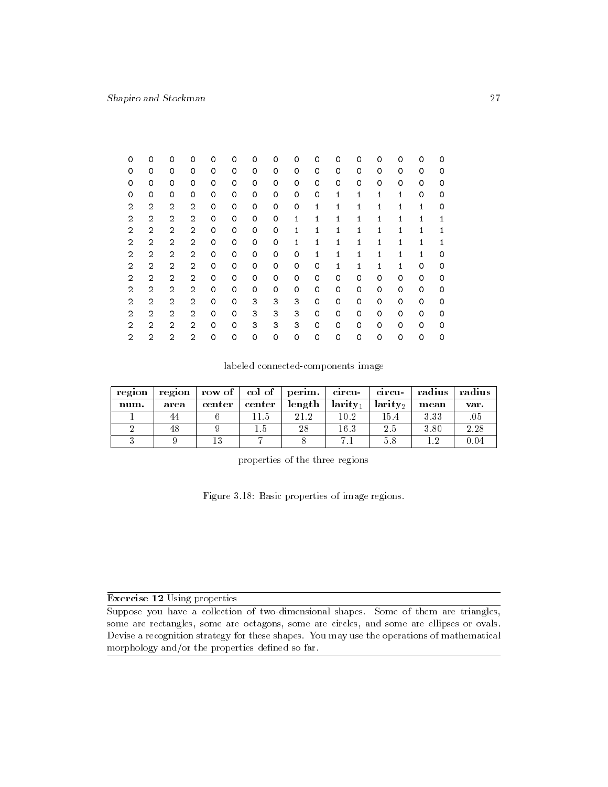| 0 | 0              | 0              | 0              | 0 | 0 | 0 | 0 | 0 | 0            | 0 | 0            | 0       | 0 | 0            | 0 |
|---|----------------|----------------|----------------|---|---|---|---|---|--------------|---|--------------|---------|---|--------------|---|
| 0 | 0              | 0              | 0              | 0 | 0 | 0 | 0 | 0 | 0            | 0 | 0            | 0       | 0 | 0            | 0 |
| 0 | 0              | 0              | 0              | 0 | 0 | 0 | 0 | 0 | 0            | 0 | 0            | 0       | 0 | 0            | 0 |
| 0 | 0              | 0              | 0              | 0 | 0 | 0 | 0 | 0 | 0            | 1 | 1            | 1       | 1 | 0            | 0 |
| 2 | $\overline{2}$ | 2              | $\overline{2}$ | 0 | 0 | 0 | 0 | 0 | 1            | 1 | 1            | 1       | 1 | $\mathbf{1}$ | 0 |
| 2 | $\overline{2}$ | $\overline{2}$ | $\overline{2}$ | 0 | 0 | 0 | 0 | 1 | $\mathbf{1}$ | 1 | 1            | 1       | 1 | 1            | 1 |
| 2 | $\overline{2}$ | $\overline{2}$ | 2              | 0 | 0 | 0 | 0 | 1 | 1            | 1 | 1            | 1       | 1 | 1            | 1 |
| 2 | $\overline{2}$ | 2              | $\overline{2}$ | 0 | 0 | 0 | 0 | 1 | 1            | 1 | $\mathbf{1}$ | 1       | 1 | 1            | 1 |
| 2 | $\overline{2}$ | $\overline{2}$ | $\overline{2}$ | 0 | 0 | 0 | 0 | 0 | 1            | 1 | 1            | 1       | 1 | 1            | 0 |
| 2 | $\overline{2}$ | $\overline{2}$ | 2              | 0 | 0 | 0 | 0 | 0 | 0            | 1 | 1            | 1       | 1 | 0            | 0 |
| 2 | $\overline{2}$ | $\overline{2}$ | $\overline{2}$ | 0 | 0 | 0 | 0 | 0 | 0            | 0 | 0            | 0       | 0 | 0            | 0 |
| 2 | $\overline{2}$ | $\overline{2}$ | $\mathbf{2}$   | 0 | 0 | 0 | 0 | 0 | 0            | 0 | 0            | 0       | 0 | $\circ$      | 0 |
| 2 | $\overline{2}$ | $\overline{2}$ | $\overline{2}$ | 0 | 0 | 3 | 3 | 3 | 0            | 0 | 0            | 0       | 0 | 0            | 0 |
| 2 | $\overline{2}$ | 2              | $\overline{2}$ | 0 | 0 | 3 | 3 | 3 | 0            | 0 | 0            | 0       | 0 | 0            | 0 |
| 2 | $\overline{2}$ | $\overline{2}$ | $\overline{2}$ | 0 | 0 | 3 | 3 | 3 | 0            | 0 | 0            | $\circ$ | 0 | $\circ$      | 0 |
| 2 | $\overline{2}$ | $\overline{2}$ | $\overline{2}$ | 0 | 0 | 0 | 0 | 0 | 0            | 0 | 0            | 0       | 0 | 0            | 0 |

labeled connected-components image

| region |      | region $\vert$ row of $\vert$ col of $\vert$ perim. |        |        | circu-         | cırcu-                 | radius | radius |
|--------|------|-----------------------------------------------------|--------|--------|----------------|------------------------|--------|--------|
| num.   | area | center                                              | center | length | $l$ arit $y_1$ | $l$ arity <sub>2</sub> | mean   | var.   |
|        | 44   |                                                     |        | 212    | 10.2           | 154                    | 3.33   | .05    |
|        | 48   |                                                     |        | 28     | 16.3           | 2.5                    | 3.80   | 2.28   |
|        |      | 13                                                  |        |        |                |                        | ച      | ገ.በ4   |

properties of the three regions

Figure 3.18: Basic properties of image regions.

## Exercise 12 Using properties

Suppose you have a collection of two-dimensional shapes. Some of them are triangles, some are rectangles, some are octagons, some are circles, and some are ellipses or ovals. Devise a recognition strategy for these shapes. You may use the operations of mathematical morphology and/or the properties defined so far.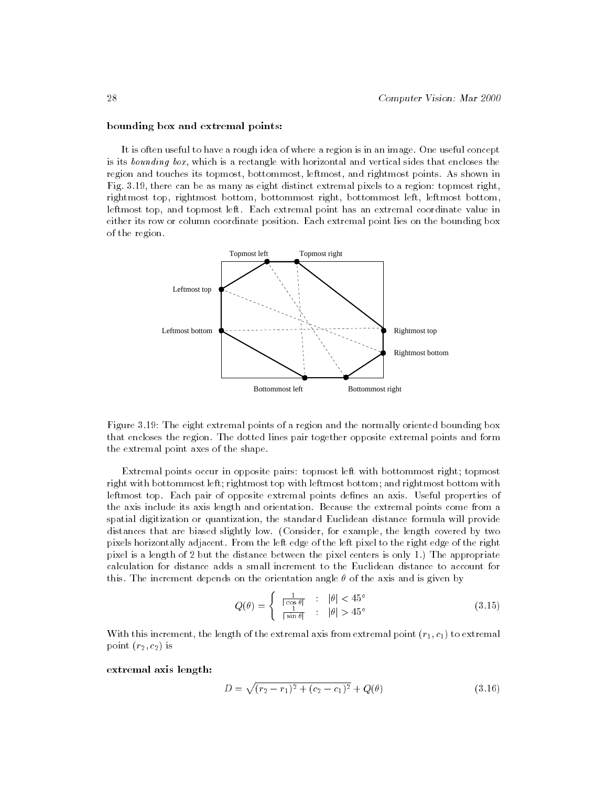#### bounding box and extremal points:

It is often useful to have a rough idea of where a region is in an image. One useful concept is its bounding box, which is a rectangle with horizontal and vertical sides that encloses the region and touches its topmost, bottommost, leftmost, and rightmost points. As shown in Fig. 3.19, there can be as many as eight distinct extremal pixels to a region: topmost right, rightmost top, rightmost bottom, bottommost right, bottommost left, leftmost bottom, leftmost top, and topmost left. Each extremal point has an extremal coordinate value in either its row or column coordinate position. Each extremal point lies on the bounding box of the region.



Figure 3.19: The eight extremal points of a region and the normally oriented bounding box that encloses the region. The dotted lines pair together opposite extremal points and form the extremal point axes of the shape.

Extremal points occur in opposite pairs: topmost left with bottommost right; topmost right with bottommost left; rightmost top with leftmost bottom; and rightmost bottom with leftmost top. Each pair of opposite extremal points denes an axis. Useful properties of the axis include its axis length and orientation. Because the extremal points come from a spatial digitization or quantization, the standard Euclidean distance formula will provide distances that are biased slightly low. (Consider, for example, the length covered by two pixels horizontally adjacent. From the left edge of the left pixel to the right edge of the right pixel is a length of 2 but the distance between the pixel centers is only 1.) The appropriate calculation for distance adds a small increment to the Euclidean distance to account for this. The increment depends on the orientation angle  $\theta$  of the axis and is given by

$$
Q(\theta) = \begin{cases} \frac{1}{|\cos \theta|} & : |\theta| < 45^{\circ} \\ \frac{1}{|\sin \theta|} & : |\theta| > 45^{\circ} \end{cases}
$$
 (3.15)

With this increment, the length of the extremal axis from extremal point  $(r_1, c_1)$  to extremal point  $(r_2, c_2)$  is

extremal axis length:

$$
D = \sqrt{(r_2 - r_1)^2 + (c_2 - c_1)^2} + Q(\theta)
$$
\n(3.16)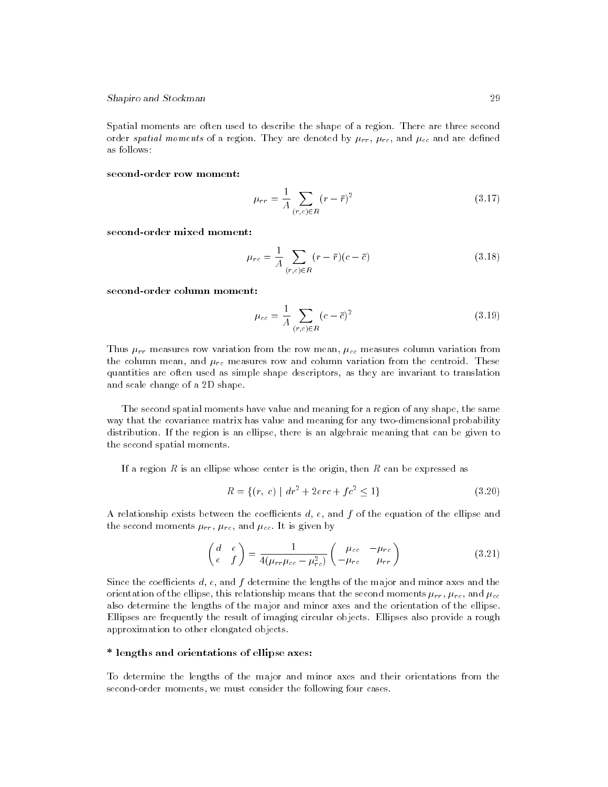Spatial moments are often used to describe the shape of a region. There are three second order spatial moments of a region. They are denoted by  $\mu_{rr}$ ,  $\mu_{rc}$ , and  $\mu_{cc}$  and are defined as follows:

#### second-order row moment:

$$
\mu_{rr} = \frac{1}{A} \sum_{(r,c) \in R} (r - \bar{r})^2 \tag{3.17}
$$

second-order mixed moment:

$$
\mu_{rc} = \frac{1}{A} \sum_{(r,c) \in R} (r - \bar{r})(c - \bar{c})
$$
\n(3.18)

second-order column moment:

$$
\mu_{cc} = \frac{1}{A} \sum_{(r,c) \in R} (c - \bar{c})^2
$$
\n(3.19)

Thus  $\mu_{rr}$  measures row variation from the row mean,  $\mu_{cc}$  measures column variation from the column mean, and  $\mu_{rc}$  measures row and column variation from the centroid. These quantities are often used as simple shape descriptors, as they are invariant to translation and scale change of a 2D shape.

The second spatial moments have value and meaning for a region of any shape, the same way that the covariance matrix has value and meaning for any two-dimensional probability distribution. If the region is an ellipse, there is an algebraic meaning that can be given to the second spatial moments.

If a region  $R$  is an ellipse whose center is the origin, then  $R$  can be expressed as

$$
R = \{(r, c) \mid dr^2 + 2\epsilon rc + fc^2 \le 1\}
$$
\n(3.20)

A relationship exists between the coefficients  $d, e$ , and f of the equation of the ellipse and the second moments  $\mu_{rr}$ ,  $\mu_{rc}$ , and  $\mu_{cc}$ . It is given by

$$
\begin{pmatrix} d & e \\ e & f \end{pmatrix} = \frac{1}{4(\mu_{rr}\mu_{cc} - \mu_{rc}^2)} \begin{pmatrix} \mu_{cc} & -\mu_{rc} \\ -\mu_{rc} & \mu_{rr} \end{pmatrix}
$$
(3.21)

Since the coefficients  $d, e$ , and  $f$  determine the lengths of the major and minor axes and the orientation of the ellipse, this relationship means that the second moments  $\mu_{rr}$ ,  $\mu_{rc}$ , and  $\mu_{cc}$ also determine the lengths of the major and minor axes and the orientation of the ellipse. Ellipses are frequently the result of imaging circular objects. Ellipses also provide a rough approximation to other elongated objects.

#### \* lengths and orientations of ellipse axes:

To determine the lengths of the major and minor axes and their orientations from the second-order moments, we must consider the following four cases.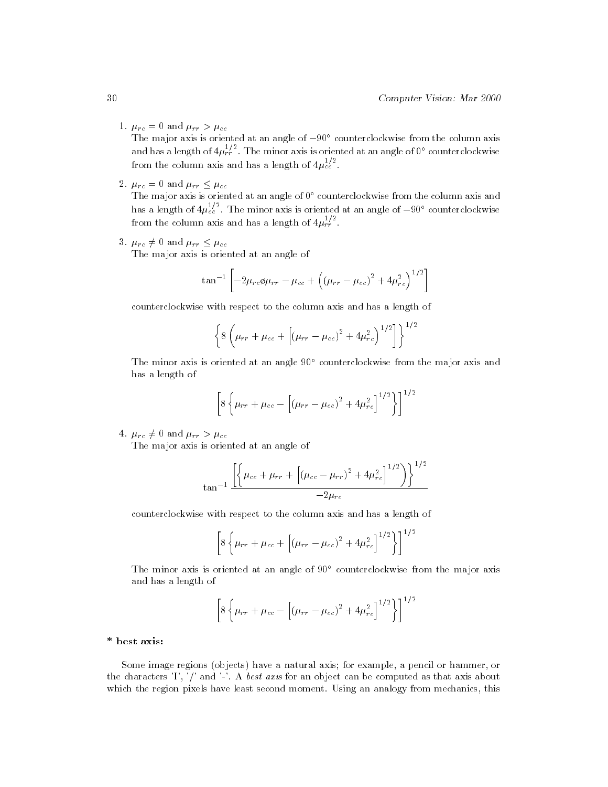1.  $\mu_{rc} = 0$  and  $\mu_{rr} > \mu_{cc}$ 

The major axis is oriented at an angle of  $-90^{\circ}$  counterclockwise from the column axis and has a length of  $4\mu_{tr}^{2}$  . The minor axis is oriented at an angle of  $0^{\circ}$  counterclockwise from the column axis and has a length of  $4\mu_{ee}^{2}$  .

2.  $\mu_{rc} = 0$  and  $\mu_{rr} \leq \mu_{cc}$ 

The major axis is oriented at an angle of  $0^{\circ}$  counterclockwise from the column axis and has a length of  $4\mu_{c}^{2}$  . The minor axis is oriented at an angle of  $-90^{\circ}$  counterclockwise from the column axis and has a length of  $4\mu_{rr}^2$  .

3.  $\mu_{rc} \neq 0$  and  $\mu_{rr} \leq \mu_{cc}$ 

The major axis is oriented at an angle of

$$
\tan^{-1}\left[-2\mu_{rc}\phi\mu_{rr} - \mu_{cc} + \left((\mu_{rr} - \mu_{cc})^2 + 4\mu_{rc}^2\right)^{1/2}\right]
$$

counterclockwise with respect to the column axis and has a length of

$$
\left\{8\left(\mu_{rr}+\mu_{cc}+\left[(\mu_{rr}-\mu_{cc})^2+4\mu_{rc}^2\right)^{1/2}\right]\right\}^{1/2}
$$

The minor axis is oriented at an angle 90° counterclockwise from the major axis and has a length of

$$
\[8\left{\mu_{rr} + \mu_{cc} - \left[\left(\mu_{rr} - \mu_{cc}\right)^2 + 4\mu_{rc}^2\right]^{1/2}\right\}\]^{1/2}
$$

4.  $\mu_{rc} \neq 0$  and  $\mu_{rr} > \mu_{cc}$ 

The major axis is oriented at an angle of

$$
\tan^{-1}\frac{\left[\left\{\mu_{cc}+\mu_{rr}+\left[\left(\mu_{cc}-\mu_{rr}\right)^2+4\mu_{rc}^2\right]^{1/2}\right)\right\}^{1/2}}{-2\mu_{rc}}
$$

counterclockwise with respect to the column axis and has a length of

$$
\[8\left{\mu_{rr} + \mu_{cc} + \left[\left(\mu_{rr} - \mu_{cc}\right)^2 + 4\mu_{rc}^2\right]^{1/2}\right\}\]^{1/2}
$$

The minor axis is oriented at an angle of 90<sup>°</sup> counterclockwise from the major axis and has a length of

$$
\[8\left\{\mu_{rr} + \mu_{cc} - \left[\left(\mu_{rr} - \mu_{cc}\right)^2 + 4\mu_{rc}^2\right]^{1/2}\right\}\]^{1/2}
$$

#### \* best axis:

Some image regions (objects) have a natural axis; for example, a pencil or hammer, or the characters 'I', '/' and '-'. A best axis for an object can be computed as that axis about which the region pixels have least second moment. Using an analogy from mechanics, this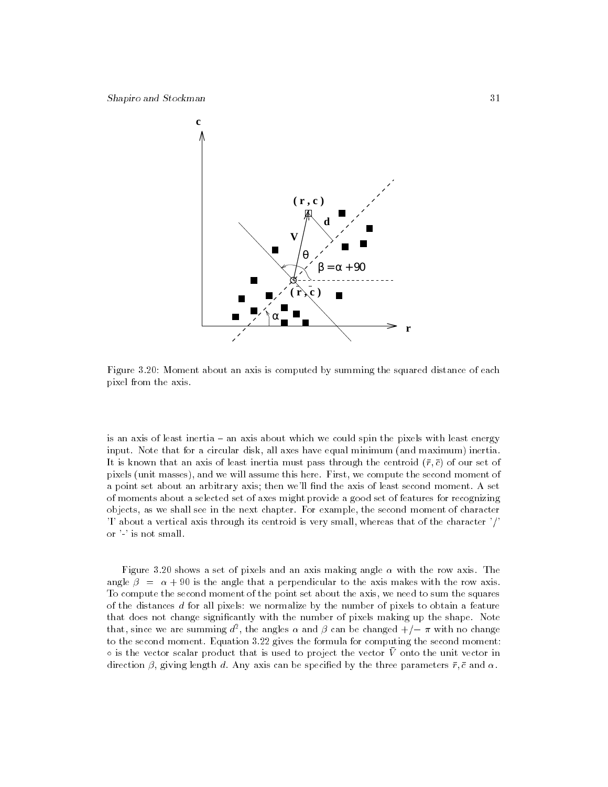

Figure 3.20: Moment about an axis is computed by summing the squared distance of each pixel from the axis.

is an axis of least inertia - an axis about which we could spin the pixels with least energy input. Note that for a circular disk, all axes have equal minimum (and maximum) inertia. It is known that an axis of least inertia must pass through the centroid  $(\bar{r}, \bar{c})$  of our set of pixels (unit masses), and we will assume this here. First, we compute the second moment of a point set about an arbitrary axis; then we'll find the axis of least second moment. A set of moments about a selected set of axes might provide a good set of features for recognizing objects, as we shall see in the next chapter. For example, the second moment of character 'I' about a vertical axis through its centroid is very small, whereas that of the character '/' or '-' is not small.

Figure 3.20 shows a set of pixels and an axis making angle  $\alpha$  with the row axis. The angle  $\beta = \alpha + 90$  is the angle that a perpendicular to the axis makes with the row axis. To compute the second moment of the point set about the axis, we need to sum the squares of the distances d for all pixels: we normalize by the number of pixels to obtain a feature that does not change signicantly with the number of pixels making up the shape. Note that, since we are summing  $a^{\perp}$ , the angles  $\alpha$  and  $\rho$  can be changed  $+/-\pi$  with no change to the second moment. Equation 3.22 gives the formula for computing the second moment:  $\circ$  is the vector scalar product that is used to project the vector  $V$  onto the unit vector in direction  $\beta$ , giving length d. Any axis can be specified by the three parameters  $\bar{r}$ ,  $\bar{c}$  and  $\alpha$ .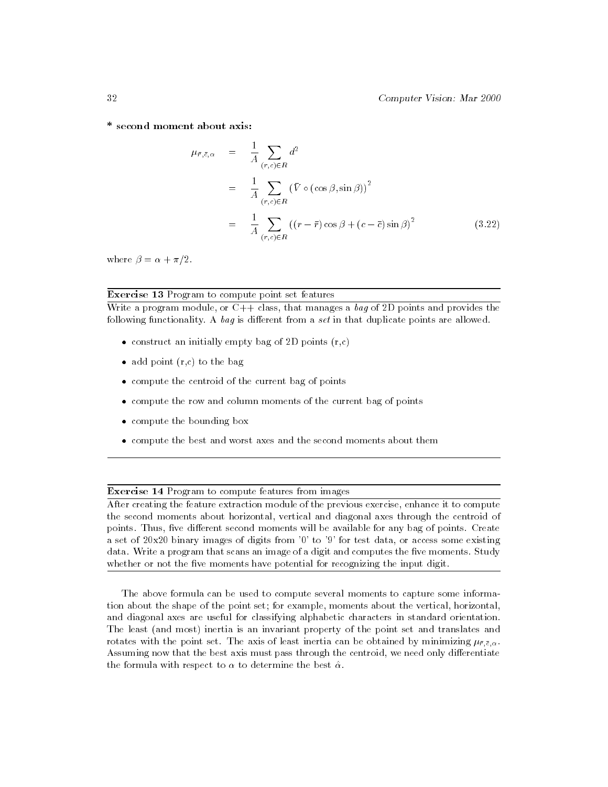\* second moment about axis:

$$
\mu_{\bar{r}, \bar{c}, \alpha} = \frac{1}{A} \sum_{(r, c) \in R} d^2
$$
\n
$$
= \frac{1}{A} \sum_{(r, c) \in R} (\bar{V} \circ (\cos \beta, \sin \beta))^2
$$
\n
$$
= \frac{1}{A} \sum_{(r, c) \in R} ((r - \bar{r}) \cos \beta + (c - \bar{c}) \sin \beta)^2 \qquad (3.22)
$$

where  $\beta = \alpha + \pi/2$ .

## Exercise 13 Program to compute point set features

Write a program module, or  $C++$  class, that manages a bag of 2D points and provides the following functionality. A bag is different from a set in that duplicate points are allowed.

- construct an initially empty bag of 2D points (r,c)
- add point (r,c) to the bag
- compute the centroid of the current bag of points
- $\bullet$  compute the row and column moments of the current bag of points  $\hspace{0.1mm}$
- $\bullet$  compute the bounding box  $\hspace{0.1mm}$
- compute the best and worst axes and the second moments about them

## **Exercise 14 Program to compute features from images**

After creating the feature extraction module of the previous exercise, enhance it to compute the second moments about horizontal, vertical and diagonal axes through the centroid of points. Thus, five different second moments will be available for any bag of points. Create a set of  $20x20$  binary images of digits from '0' to '9' for test data, or access some existing data. Write a program that scans an image of a digit and computes the five moments. Study whether or not the five moments have potential for recognizing the input digit.

The above formula can be used to compute several moments to capture some information about the shape of the point set; for example, moments about the vertical, horizontal, and diagonal axes are useful for classifying alphabetic characters in standard orientation. The least (and most) inertia is an invariant property of the point set and translates and rotates with the point set. The axis of least inertia can be obtained by minimizing  $\mu_{\bar{r},\bar{c},\alpha}$ . Assuming now that the best axis must pass through the centroid, we need only differentiate the formula with respect to  $\alpha$  to determine the best  $\hat{\alpha}$ .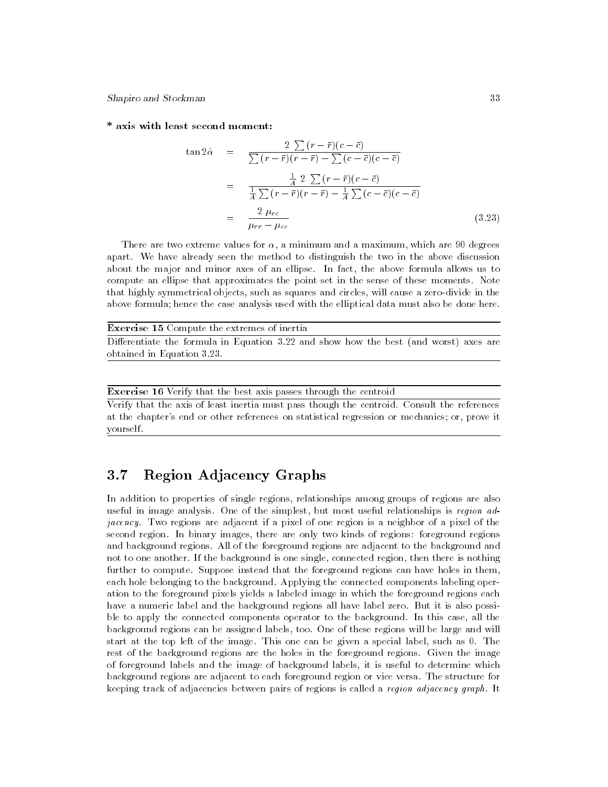#### \* axis with least second moment:

 $\mathbf t$ 

$$
\tan 2\hat{\alpha} = \frac{2 \sum (r - \bar{r})(c - \bar{c})}{\sum (r - \bar{r})(r - \bar{r}) - \sum (c - \bar{c})(c - \bar{c})}
$$
  

$$
= \frac{\frac{1}{4} 2 \sum (r - \bar{r})(c - \bar{c})}{\frac{1}{4} \sum (r - \bar{r})(r - \bar{r}) - \frac{1}{4} \sum (c - \bar{c})(c - \bar{c})}
$$
  

$$
= \frac{2 \mu_{rc}}{\mu_{rr} - \mu_{cc}}
$$
(3.23)

There are two extreme values for  $\alpha$ , a minimum and a maximum, which are 90 degrees apart. We have already seen the method to distinguish the two in the above discussion about the major and minor axes of an ellipse. In fact, the above formula allows us to compute an ellipse that approximates the point set in the sense of these moments. Note that highly symmetrical objects, such as squares and circles, will cause a zero-divide in the above formula; hence the case analysis used with the elliptical data must also be done here.

| <b>Exercise 15</b> Compute the extremes of inertia                                    |  |  |  |  |  |  |  |  |  |  |
|---------------------------------------------------------------------------------------|--|--|--|--|--|--|--|--|--|--|
| Differentiate the formula in Equation 3.22 and show how the best (and worst) axes are |  |  |  |  |  |  |  |  |  |  |
| obtained in Equation 3.23.                                                            |  |  |  |  |  |  |  |  |  |  |

#### Exercise 16 Verify that the best axis passes through the centroid

Verify that the axis of least inertia must pass though the centroid. Consult the references at the chapter's end or other references on statistical regression or mechanics; or, prove it yourself.

# 3.7 Region Adjacency Graphs

In addition to properties of single regions, relationships among groups of regions are also useful in image analysis. One of the simplest, but most useful relationships is region adjacency. Two regions are adjacent if a pixel of one region is a neighbor of a pixel of the second region. In binary images, there are only two kinds of regions: foreground regions and background regions. All of the foreground regions are adjacent to the background and not to one another. If the background is one single, connected region, then there is nothing further to compute. Suppose instead that the foreground regions can have holes in them, each hole belonging to the background. Applying the connected components labeling operation to the foreground pixels yields a labeled image in which the foreground regions each have a numeric label and the background regions all have label zero. But it is also possible to apply the connected components operator to the background. In this case, all the background regions can be assigned labels, too. One of these regions will be large and will start at the top left of the image. This one can be given a special label, such as 0. The rest of the background regions are the holes in the foreground regions. Given the image of foreground labels and the image of background labels, it is useful to determine which background regions are adjacent to each foreground region or vice versa. The structure for keeping track of adjacencies between pairs of regions is called a *region adjacency graph*. It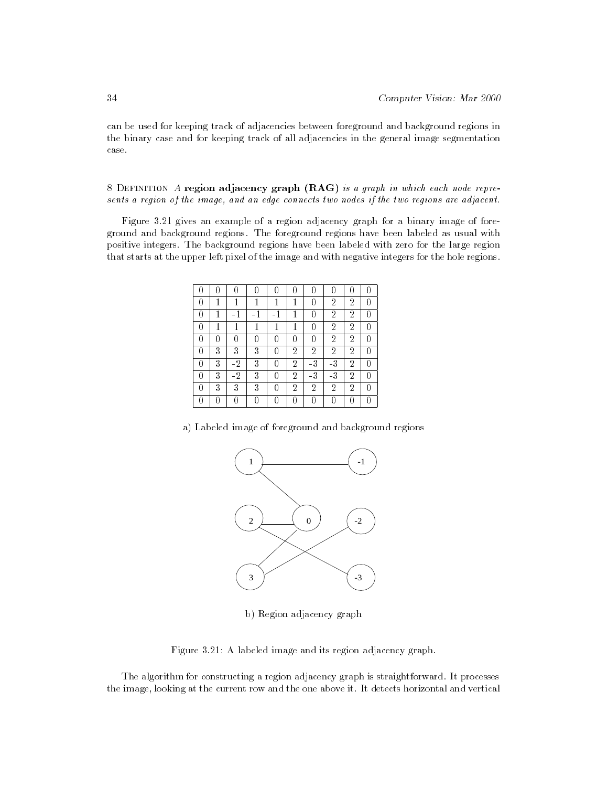can be used for keeping track of adjacencies between foreground and background regions in the binary case and for keeping track of all adjacencies in the general image segmentation case.

8 Definition A region adjacency graph (RAG) is a graph in which each node represents a region of the image, and an edge connects two nodes if the two regions are adjacent.

Figure 3.21 gives an example of a region adjacency graph for a binary image of foreground and background regions. The foreground regions have been labeled as usual with positive integers. The background regions have been labeled with zero for the large region that starts at the upper left pixel of the image and with negative integers for the hole regions.

|   |    |   | 1 |                | 0                          | 2              | 2              |   |
|---|----|---|---|----------------|----------------------------|----------------|----------------|---|
|   |    |   |   |                | 0                          | 2              | $\overline{2}$ |   |
|   | п  | 1 | 1 | 1              | O                          | $\overline{2}$ | $\overline{2}$ |   |
|   |    |   |   |                | 0                          | $\overline{2}$ | $\overline{2}$ |   |
| 3 | 3  | 3 |   | 2              | 2                          | 2              | 2              |   |
| 3 | -2 | 3 |   | $\overline{2}$ | $\overline{\phantom{a}}$ 3 | -3             | $\overline{2}$ |   |
| 3 | -2 | 3 |   | 2              | $-3$                       | $-3$           | 2              |   |
| 3 | 3  | 3 | Ω | 2              | 2                          | 2              | 2              | 0 |
|   |    | Ω | Ω |                | O                          |                |                |   |

a) Labeled image of foreground and background regions



b) Region adjacency graph

Figure 3.21: A labeled image and its region adjacency graph.

The algorithm for constructing a region adjacency graph is straightforward. It processes the image, looking at the current row and the one above it. It detects horizontal and vertical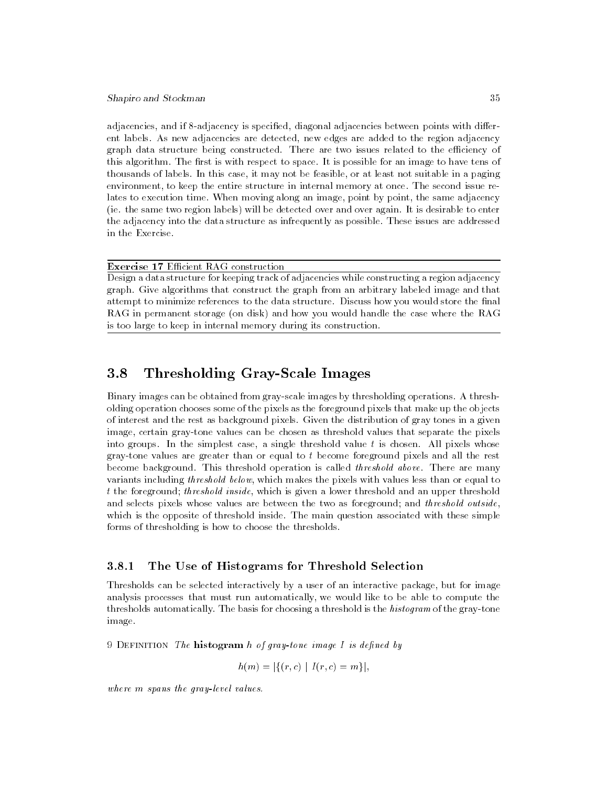adjacencies, and if 8-adjacency is specified, diagonal adjacencies between points with different labels. As new adjacencies are detected, new edges are added to the region adjacency graph data structure being constructed. There are two issues related to the efficiency of this algorithm. The first is with respect to space. It is possible for an image to have tens of thousands of labels. In this case, it may not be feasible, or at least not suitable in a paging environment, to keep the entire structure in internal memory at once. The second issue relates to execution time. When moving along an image, point by point, the same adjacency (ie. the same two region labels) will be detected over and over again. It is desirable to enter the adjacency into the data structure as infrequently as possible. These issues are addressed in the Exercise.

Exercise 17 Efficient RAG construction

Design a data structure for keeping track of adjacencies while constructing a region adjacency graph. Give algorithms that construct the graph from an arbitrary labeled image and that attempt to minimize references to the data structure. Discuss how you would store the final RAG in permanent storage (on disk) and how you would handle the case where the RAG is too large to keep in internal memory during its construction.

#### 3.8 3.8 Thresholding Gray-Scale Images

Binary images can be obtained from gray-scale images by thresholding operations. A thresholding operation chooses some of the pixels as the foreground pixels that make up the objects of interest and the rest as background pixels. Given the distribution of gray tones in a given image, certain gray-tone values can be chosen as threshold values that separate the pixels into groups. In the simplest case, a single threshold value  $t$  is chosen. All pixels whose gray-tone values are greater than or equal to t become foreground pixels and all the rest become background. This threshold operation is called threshold above. There are many variants including threshold below, which makes the pixels with values less than or equal to t the foreground; threshold inside, which is given a lower threshold and an upper threshold and selects pixels whose values are between the two as foreground; and threshold outside, which is the opposite of threshold inside. The main question associated with these simple forms of thresholding is how to choose the thresholds.

## 3.8.1 The Use of Histograms for Threshold Selection

Thresholds can be selected interactively by a user of an interactive package, but for image analysis processes that must run automatically, we would like to be able to compute the thresholds automatically. The basis for choosing a threshold is the *histogram* of the gray-tone image.

9 DEFINITION The **histogram** h of gray-tone image I is defined by

$$
h(m) = |\{(r, c) | I(r, c) = m\}|,
$$

where m spans the gray-level values.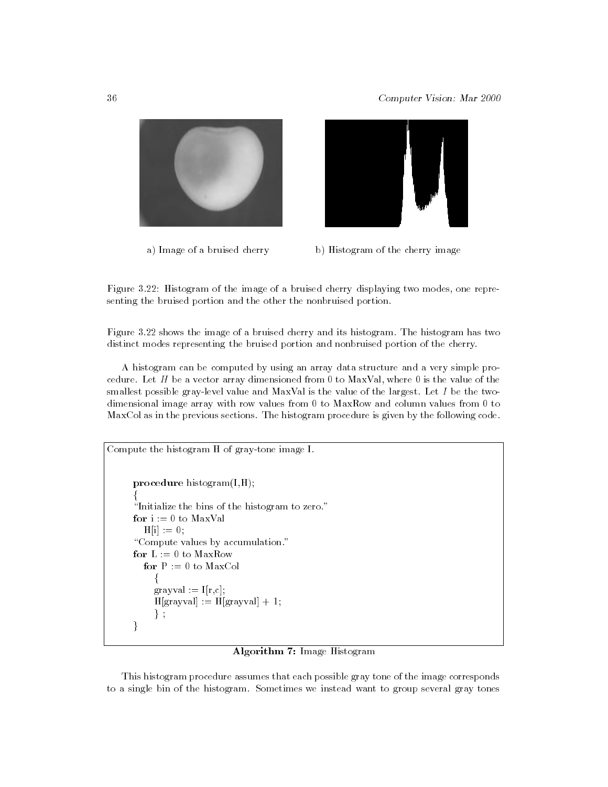



a) Image of a bruised cherry b) Histogram of the cherry image

Figure 3.22: Histogram of the image of a bruised cherry displaying two modes, one representing the bruised portion and the other the nonbruised portion.

Figure 3.22 shows the image of a bruised cherry and its histogram. The histogram has two distinct modes representing the bruised portion and nonbruised portion of the cherry.

A histogram can be computed by using an array data structure and a very simple procedure. Let H be a vector array dimensioned from 0 to MaxVal, where 0 is the value of the smallest possible gray-level value and MaxVal is the value of the largest. Let  $I$  be the twodimensional image array with row values from 0 to MaxRow and column values from 0 to MaxCol as in the previous sections. The histogram procedure is given by the following code.

```
Compute the histogram H of gray-tone image I.
     procedure histogram(I,H);
      f
      "Initialize the bins of the histogram to zero."
     for i := 0 to MaxValH[i] := 0;"Compute values by accumulation."
     for L := 0 to MaxRowfor P := 0 to MaxCol
          f
          grayval := I[r,c];H[\text{grayval}] := H[\text{grayval}] + 1;\} ;
      \}
```
#### Algorithm 7: Image Histogram

This histogram procedure assumes that each possible gray tone of the image corresponds to a single bin of the histogram. Sometimes we instead want to group several gray tones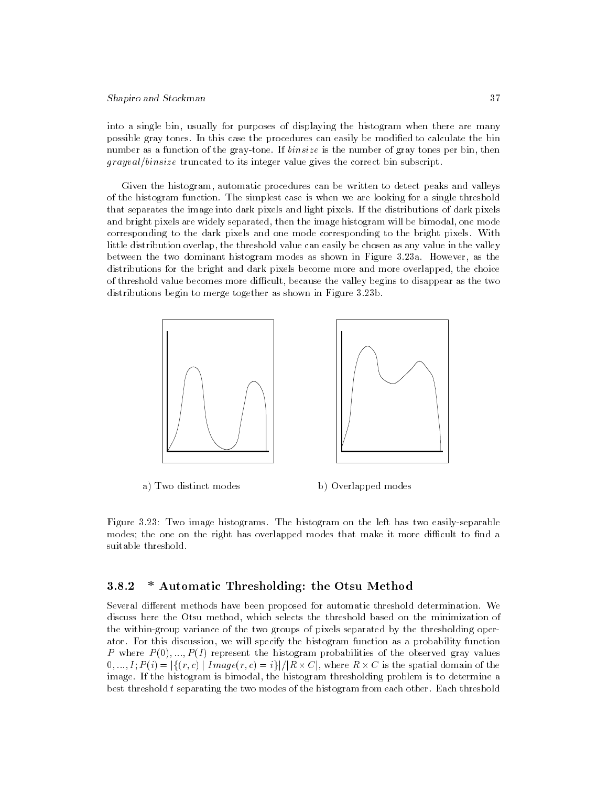into a single bin, usually for purposes of displaying the histogram when there are many possible gray tones. In this case the procedures can easily be modified to calculate the bin number as a function of the gray-tone. If *binsize* is the number of gray tones per bin, then  $grayal/binstein$  truncated to its integer value gives the correct bin subscript.

Given the histogram, automatic procedures can be written to detect peaks and valleys of the histogram function. The simplest case is when we are looking for a single threshold that separates the image into dark pixels and light pixels. If the distributions of dark pixels and bright pixels are widely separated, then the image histogram will be bimodal, one mode corresponding to the dark pixels and one mode corresponding to the bright pixels. With little distribution overlap, the threshold value can easily be chosen as any value in the valley between the two dominant histogram modes as shown in Figure 3.23a. However, as the distributions for the bright and dark pixels become more and more overlapped, the choice of threshold value becomes more difficult, because the valley begins to disappear as the two distributions begin to merge together as shown in Figure 3.23b.



a) Two distinct modes b) Overlapped modes

Figure 3.23: Two image histograms. The histogram on the left has two easily-separable modes; the one on the right has overlapped modes that make it more difficult to find a

## 3.8.2 \* Automatic Thresholding: the Otsu Method

Several different methods have been proposed for automatic threshold determination. We discuss here the Otsu method, which selects the threshold based on the minimization of the within-group variance of the two groups of pixels separated by the thresholding operator. For this discussion, we will specify the histogram function as a probability function P where  $P(0),...,P(I)$  represent the histogram probabilities of the observed gray values  $0, ..., I; P(i) = |\{(r, c) \mid Image(r, c) = i\}| / |R \times C|$ , where  $R \times C$  is the spatial domain of the image. If the histogram is bimodal, the histogram thresholding problem is to determine a best threshold  $t$  separating the two modes of the histogram from each other. Each threshold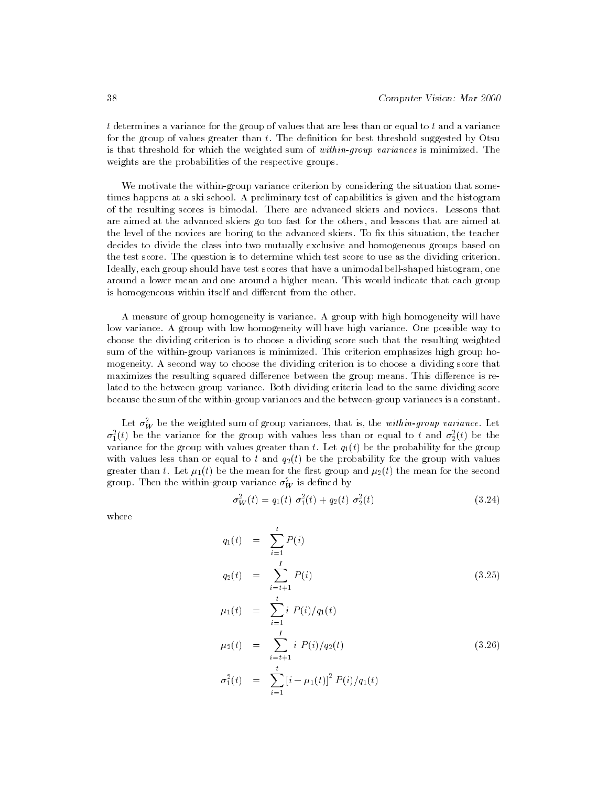$t$  determines a variance for the group of values that are less than or equal to  $t$  and a variance for the group of values greater than  $t$ . The definition for best threshold suggested by Otsu is that threshold for which the weighted sum of within-group variances is minimized. The weights are the probabilities of the respective groups.

We motivate the within-group variance criterion by considering the situation that sometimes happens at a ski school. A preliminary test of capabilities is given and the histogram of the resulting scores is bimodal. There are advanced skiers and novices. Lessons that are aimed at the advanced skiers go too fast for the others, and lessons that are aimed at the level of the novices are boring to the advanced skiers. To fix this situation, the teacher decides to divide the class into two mutually exclusive and homogeneous groups based on the test score. The question is to determine which test score to use as the dividing criterion. Ideally, each group should have test scores that have a unimodal bell-shaped histogram, one around a lower mean and one around a higher mean. This would indicate that each group is homogeneous within itself and different from the other.

A measure of group homogeneity is variance. A group with high homogeneity will have low variance. A group with low homogeneity will have high variance. One possible way to choose the dividing criterion is to choose a dividing score such that the resulting weighted sum of the within-group variances is minimized. This criterion emphasizes high group homogeneity. A second way to choose the dividing criterion is to choose a dividing score that maximizes the resulting squared difference between the group means. This difference is related to the between-group variance. Both dividing criteria lead to the same dividing score because the sum of the within-group variances and the between-group variances is a constant.

Let  $\sigma_W^-$  be the weighted sum of group variances, that is, the within-group variance. Let  $\sigma_1^*(t)$  be the variance for the group with values less than or equal to  $t$  and  $\sigma_2^*(t)$  be the variance for the group with values greater than t. Let  $q_1(t)$  be the probability for the group with values less than or equal to t and  $q_2(t)$  be the probability for the group with values greater than t. Let  $\mu_1(t)$  be the mean for the first group and  $\mu_2(t)$  the mean for the second group. Then the within-group variance  $\sigma_W^-$  is defined by

$$
\sigma_W^2(t) = q_1(t) \sigma_1^2(t) + q_2(t) \sigma_2^2(t)
$$
\n(3.24)

where

$$
q_1(t) = \sum_{i=1}^t P(i)
$$
  
\n
$$
q_2(t) = \sum_{i=t+1}^I P(i)
$$
  
\n
$$
\mu_1(t) = \sum_{i=1}^t i P(i)/q_1(t)
$$
  
\n
$$
\mu_2(t) = \sum_{i=t+1}^I i P(i)/q_2(t)
$$
\n(3.26)

$$
\sigma_1^2(t) = \sum_{i=1}^t [i - \mu_1(t)]^2 P(i)/q_1(t)
$$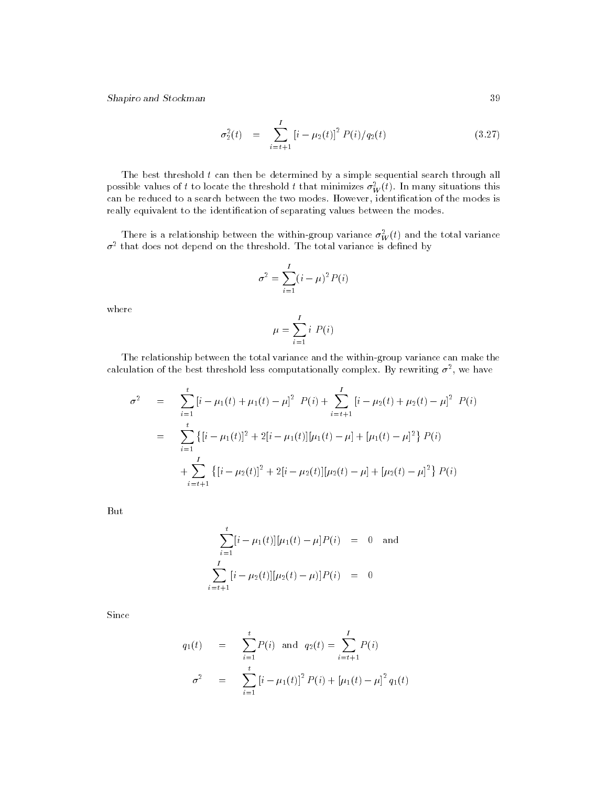$$
\sigma_2^2(t) = \sum_{i=t+1}^I \left[ i - \mu_2(t) \right]^2 P(i) / q_2(t) \tag{3.27}
$$

The best threshold t can then be determined by a simple sequential search through all possible values of t to locate the threshold t that minimizes  $\sigma^T_W(t)$ . In many situations this can be reduced to a search between the two modes. However, identification of the modes is really equivalent to the identification of separating values between the modes.

There is a relationship between the within-group variance  $\sigma_W^-(t)$  and the total variance  $\sigma$  -that does not depend on the threshold. The total variance is defined by

$$
\sigma^2 = \sum_{i=1}^I (i - \mu)^2 P(i)
$$

where

$$
\mu = \sum_{i=1}^{I} i \ P(i)
$$

The relationship between the total variance and the within-group variance can make the calculation of the best threshold less computationally complex. By rewriting  $\sigma^-,$  we have

$$
\sigma^2 = \sum_{i=1}^t \left[ i - \mu_1(t) + \mu_1(t) - \mu \right]^2 P(i) + \sum_{i=t+1}^I \left[ i - \mu_2(t) + \mu_2(t) - \mu \right]^2 P(i)
$$
  

$$
= \sum_{i=1}^t \left\{ \left[ i - \mu_1(t) \right]^2 + 2 \left[ i - \mu_1(t) \right] \left[ \mu_1(t) - \mu \right] + \left[ \mu_1(t) - \mu \right]^2 \right\} P(i)
$$
  

$$
+ \sum_{i=t+1}^I \left\{ \left[ i - \mu_2(t) \right]^2 + 2 \left[ i - \mu_2(t) \right] \left[ \mu_2(t) - \mu \right] + \left[ \mu_2(t) - \mu \right]^2 \right\} P(i)
$$

But

$$
\sum_{i=1}^{t} [i - \mu_1(t)] [\mu_1(t) - \mu] P(i) = 0 \text{ and}
$$
  

$$
\sum_{i=t+1}^{I} [i - \mu_2(t)][\mu_2(t) - \mu)] P(i) = 0
$$

Since

$$
q_1(t) = \sum_{i=1}^t P(i) \text{ and } q_2(t) = \sum_{i=t+1}^I P(i)
$$
  

$$
\sigma^2 = \sum_{i=1}^t [i - \mu_1(t)]^2 P(i) + [\mu_1(t) - \mu]^2 q_1(t)
$$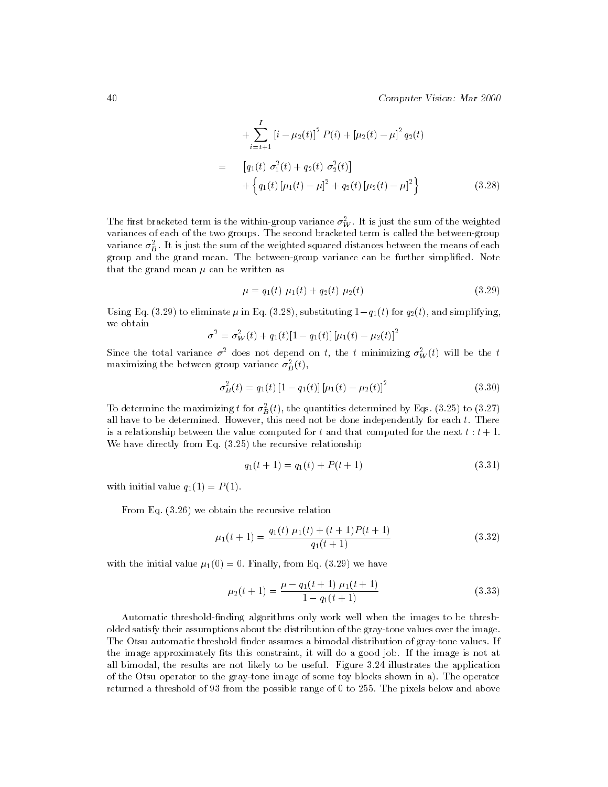40 Computer Vision: Mar 2000

$$
+\sum_{i=t+1}^{I} [i - \mu_2(t)]^2 P(i) + [\mu_2(t) - \mu]^2 q_2(t)
$$
  
= 
$$
[q_1(t) \sigma_1^2(t) + q_2(t) \sigma_2^2(t)]
$$

$$
+ \left\{ q_1(t) [\mu_1(t) - \mu]^2 + q_2(t) [\mu_2(t) - \mu]^2 \right\}
$$
(3.28)

The first bracketed term is the within-group variance  $\sigma_W^-$ . It is just the sum of the weighted variances of each of the two groups. The second bracketed term is called the between-group variance  $\sigma_B^-$ . It is just the sum of the weighted squared distances between the means of each group and the grand mean. The between-group variance can be further simplified. Note that the grand mean  $\mu$  can be written as

$$
\mu = q_1(t) \mu_1(t) + q_2(t) \mu_2(t) \tag{3.29}
$$

Using Eq. (3.29) to eliminate  $\mu$  in Eq. (3.28), substituting  $1-q_1(t)$  for  $q_2(t)$ , and simplifying, we obtain

$$
\sigma^{2} = \sigma_{W}^{2}(t) + q_{1}(t)[1 - q_{1}(t)][\mu_{1}(t) - \mu_{2}(t)]^{2}
$$

Since the total variance  $\sigma^{\bot}$  does not depend on  $t,$  the  $t$  minimizing  $\sigma_{W}^{-}(t)$  will be the  $t$ maximizing the between group variance  $\sigma_B^-(\iota),$ 

$$
\sigma_B^2(t) = q_1(t) \left[ 1 - q_1(t) \right] \left[ \mu_1(t) - \mu_2(t) \right]^2 \tag{3.30}
$$

To determine the maximizing t for  $\sigma_B^2(t)$ , the quantities determined by Eqs. (3.25) to (3.27) all have to be determined. However, this need not be done independently for each  $t$ . There is a relationship between the value computed for t and that computed for the next  $t : t + 1$ . We have directly from Eq. (3.25) the recursive relationship

$$
q_1(t+1) = q_1(t) + P(t+1)
$$
\n(3.31)

with initial value  $q_1(1) = P(1)$ .

From Eq. (3.26) we obtain the recursive relation

$$
\mu_1(t+1) = \frac{q_1(t)\mu_1(t) + (t+1)P(t+1)}{q_1(t+1)}
$$
\n(3.32)

with the initial value  $\mu_1(0) = 0$ . Finally, from Eq. (3.29) we have

$$
\mu_2(t+1) = \frac{\mu - q_1(t+1)\mu_1(t+1)}{1 - q_1(t+1)}
$$
\n(3.33)

Automatic threshold-nding algorithms only work well when the images to be thresholded satisfy their assumptions about the distribution of the gray-tone values over the image. The Otsu automatic threshold finder assumes a bimodal distribution of gray-tone values. If the image approximately fits this constraint, it will do a good job. If the image is not at all bimodal, the results are not likely to be useful. Figure 3.24 illustrates the application of the Otsu operator to the gray-tone image of some toy blocks shown in a). The operator returned a threshold of 93 from the possible range of 0 to 255. The pixels below and above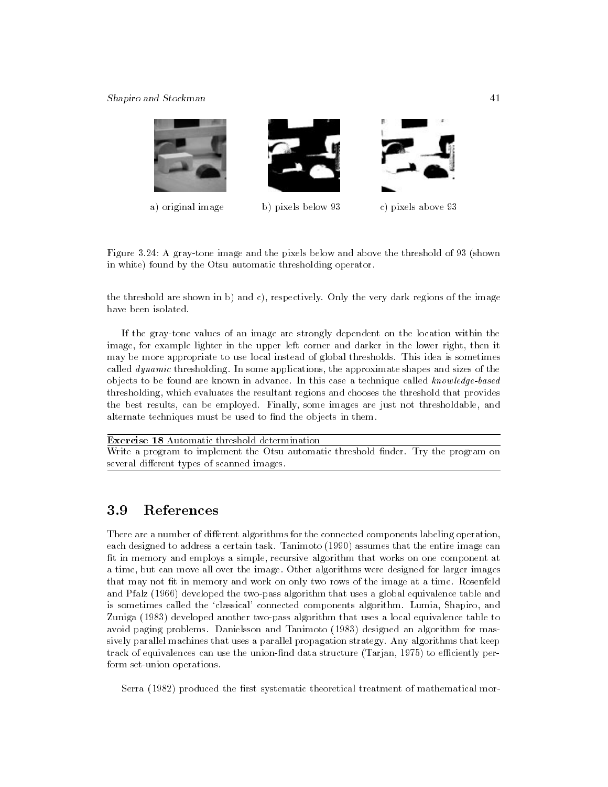

Figure 3.24: A gray-tone image and the pixels below and above the threshold of 93 (shown in white) found by the Otsu automatic thresholding operator.

the threshold are shown in b) and c), respectively. Only the very dark regions of the image have been isolated.

If the gray-tone values of an image are strongly dependent on the location within the image, for example lighter in the upper left corner and darker in the lower right, then it may be more appropriate to use local instead of global thresholds. This idea is sometimes called *dynamic* thresholding. In some applications, the approximate shapes and sizes of the objects to be found are known in advance. In this case a technique called know ledge-based thresholding, which evaluates the resultant regions and chooses the threshold that provides the best results, can be employed. Finally, some images are just not thresholdable, and alternate techniques must be used to find the objects in them.

Exercise 18 Automatic threshold determination Write a program to implement the Otsu automatic threshold finder. Try the program on several different types of scanned images.

#### References 3.9

There are a number of different algorithms for the connected components labeling operation, each designed to address a certain task. Tanimoto (1990) assumes that the entire image can fit in memory and employs a simple, recursive algorithm that works on one component at a time, but can move all over the image. Other algorithms were designed for larger images that may not fit in memory and work on only two rows of the image at a time. Rosenfeld and Pfalz (1966) developed the two-pass algorithm that uses a global equivalence table and is sometimes called the `classical' connected components algorithm. Lumia, Shapiro, and Zuniga (1983) developed another two-pass algorithm that uses a local equivalence table to avoid paging problems. Danielsson and Tanimoto (1983) designed an algorithm for massively parallel machines that uses a parallel propagation strategy. Any algorithms that keep track of equivalences can use the union-find data structure (Tarjan,  $1975$ ) to efficiently perform set-union operations.

Serra (1982) produced the first systematic theoretical treatment of mathematical mor-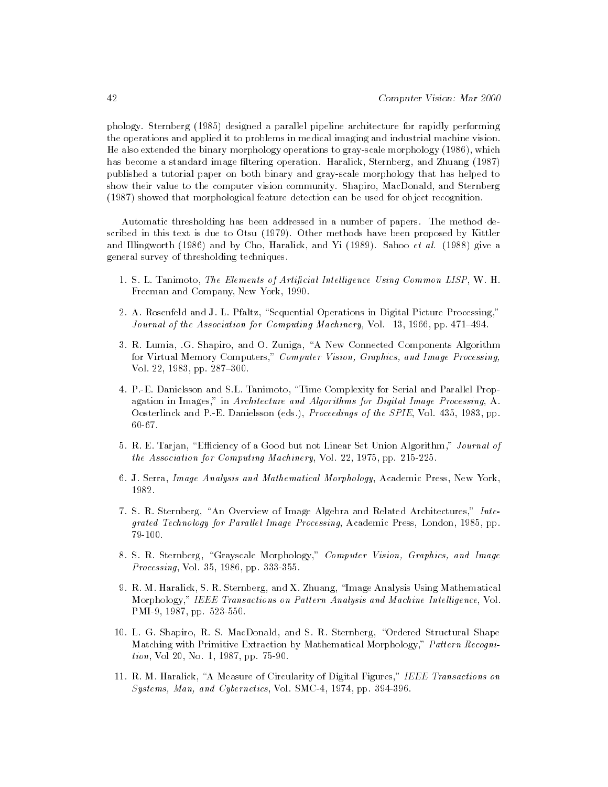phology. Sternberg (1985) designed a parallel pipeline architecture for rapidly performing the operations and applied it to problems in medical imaging and industrial machine vision. He also extended the binary morphology operations to gray-scale morphology (1986), which has become a standard image filtering operation. Haralick, Sternberg, and Zhuang (1987) published a tutorial paper on both binary and gray-scale morphology that has helped to show their value to the computer vision community. Shapiro, MacDonald, and Sternberg (1987) showed that morphological feature detection can be used for object recognition.

Automatic thresholding has been addressed in a number of papers. The method described in this text is due to Otsu (1979). Other methods have been proposed by Kittler and Illingworth  $(1986)$  and by Cho, Haralick, and Yi  $(1989)$ . Sahoo et al.  $(1988)$  give a general survey of thresholding techniques.

- 1. S. L. Tanimoto, The Elements of Artificial Intelligence Using Common LISP, W. H. Freeman and Company, New York, 1990.
- 2. A. Rosenfeld and J. L. Pfaltz, "Sequential Operations in Digital Picture Processing," Journal of the Association for Computing Machinery, Vol.  $13, 1966$ , pp.  $471–494$ .
- 3. R. Lumia, .G. Shapiro, and O. Zuniga, \A New Connected Components Algorithm for Virtual Memory Computers," Computer Vision, Graphics, and Image Processing, Vol. 22, 1983, pp. 287-300.
- 4. P.-E. Danielsson and S.L. Tanimoto, \Time Complexity for Serial and Parallel Propagation in Images," in Architecture and Algorithms for Digital Image Processing, A. Oosterlinck and P.-E. Danielsson (eds.), Proceedings of the SPIE, Vol. 435, 1983, pp. 60-67.
- 5. R. E. Tarjan, "Efficiency of a Good but not Linear Set Union Algorithm," Journal of the Association for Computing Machinery, Vol. 22, 1975, pp. 215-225.
- 6. J. Serra, Image Analysis and Mathematical Morphology, Academic Press, New York, 1982.
- 7. S. R. Sternberg, "An Overview of Image Algebra and Related Architectures," Integrated Technology for Parallel Image Processing, Academic Press, London, 1985, pp. 79-100.
- 8. S. R. Sternberg, "Grayscale Morphology," Computer Vision, Graphics, and Image Processing, Vol. 35, 1986, pp. 333-355.
- 9. R. M. Haralick, S. R. Sternberg, and X. Zhuang, \Image Analysis Using Mathematical Morphology," IEEE Transactions on Pattern Analysis and Machine Intelligence, Vol. PMI-9, 1987, pp. 523-550.
- 10. L. G. Shapiro, R. S. MacDonald, and S. R. Sternberg, "Ordered Structural Shape Matching with Primitive Extraction by Mathematical Morphology," Pattern Recognition, Vol 20, No. 1, 1987, pp. 75-90.
- 11. R. M. Haralick, "A Measure of Circularity of Digital Figures," IEEE Transactions on Systems, Man, and Cybernetics, Vol. SMC-4, 1974, pp. 394-396.